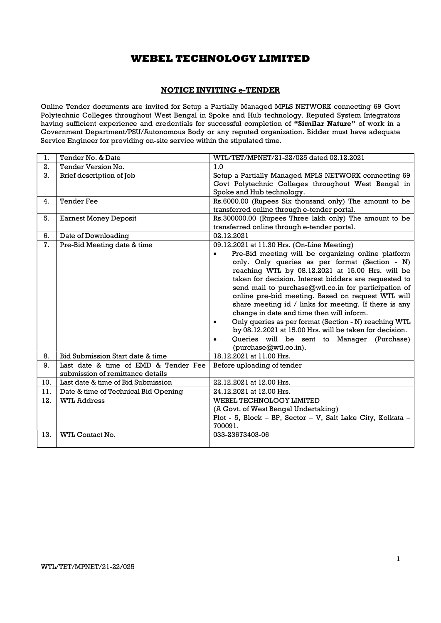### NOTICE INVITING e-TENDER

Online Tender documents are invited for Setup a Partially Managed MPLS NETWORK connecting 69 Govt Polytechnic Colleges throughout West Bengal in Spoke and Hub technology. Reputed System Integrators having sufficient experience and credentials for successful completion of "Similar Nature" of work in a Government Department/PSU/Autonomous Body or any reputed organization. Bidder must have adequate Service Engineer for providing on-site service within the stipulated time.

| 1.  | Tender No. & Date                    | WTL/TET/MPNET/21-22/025 dated 02.12.2021                        |
|-----|--------------------------------------|-----------------------------------------------------------------|
| 2.  | Tender Version No.                   | 1.0                                                             |
| 3.  | Brief description of Job             | Setup a Partially Managed MPLS NETWORK connecting 69            |
|     |                                      | Govt Polytechnic Colleges throughout West Bengal in             |
|     |                                      | Spoke and Hub technology.                                       |
| 4.  | <b>Tender Fee</b>                    | Rs.6000.00 (Rupees Six thousand only) The amount to be          |
|     |                                      | transferred online through e-tender portal.                     |
| 5.  | <b>Earnest Money Deposit</b>         | Rs.300000.00 (Rupees Three lakh only) The amount to be          |
|     |                                      | transferred online through e-tender portal.                     |
| 6.  | Date of Downloading                  | 02.12.2021                                                      |
| 7.  | Pre-Bid Meeting date & time          | 09.12.2021 at 11.30 Hrs. (On-Line Meeting)                      |
|     |                                      | Pre-Bid meeting will be organizing online platform<br>$\bullet$ |
|     |                                      | only. Only queries as per format (Section - N)                  |
|     |                                      | reaching WTL by 08.12.2021 at 15.00 Hrs. will be                |
|     |                                      | taken for decision. Interest bidders are requested to           |
|     |                                      | send mail to purchase@wtl.co.in for participation of            |
|     |                                      | online pre-bid meeting. Based on request WTL will               |
|     |                                      | share meeting id / links for meeting. If there is any           |
|     |                                      | change in date and time then will inform.                       |
|     |                                      | Only queries as per format (Section - N) reaching WTL<br>٠      |
|     |                                      | by 08.12.2021 at 15.00 Hrs. will be taken for decision.         |
|     |                                      | Queries will be sent to Manager (Purchase)<br>$\bullet$         |
|     |                                      | (purchase@wtl.co.in).                                           |
| 8.  | Bid Submission Start date & time     | 18.12.2021 at 11.00 Hrs.                                        |
| 9.  | Last date & time of EMD & Tender Fee | Before uploading of tender                                      |
|     | submission of remittance details     |                                                                 |
| 10. | Last date & time of Bid Submission   | 22.12.2021 at 12.00 Hrs.                                        |
| 11. | Date & time of Technical Bid Opening | 24.12.2021 at 12.00 Hrs.                                        |
| 12. | <b>WTL Address</b>                   | WEBEL TECHNOLOGY LIMITED                                        |
|     |                                      | (A Govt. of West Bengal Undertaking)                            |
|     |                                      | Plot - 5, Block - BP, Sector - V, Salt Lake City, Kolkata -     |
|     |                                      | 700091.                                                         |
| 13. | WTL Contact No.                      | 033-23673403-06                                                 |
|     |                                      |                                                                 |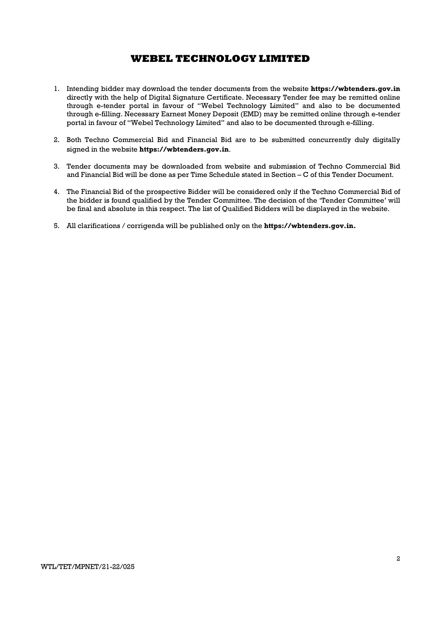- 1. Intending bidder may download the tender documents from the website https://wbtenders.gov.in directly with the help of Digital Signature Certificate. Necessary Tender fee may be remitted online through e-tender portal in favour of "Webel Technology Limited" and also to be documented through e-filling. Necessary Earnest Money Deposit (EMD) may be remitted online through e-tender portal in favour of "Webel Technology Limited" and also to be documented through e-filling.
- 2. Both Techno Commercial Bid and Financial Bid are to be submitted concurrently duly digitally signed in the website https://wbtenders.gov.in.
- 3. Tender documents may be downloaded from website and submission of Techno Commercial Bid and Financial Bid will be done as per Time Schedule stated in Section – C of this Tender Document.
- 4. The Financial Bid of the prospective Bidder will be considered only if the Techno Commercial Bid of the bidder is found qualified by the Tender Committee. The decision of the 'Tender Committee' will be final and absolute in this respect. The list of Qualified Bidders will be displayed in the website.
- 5. All clarifications / corrigenda will be published only on the https://wbtenders.gov.in.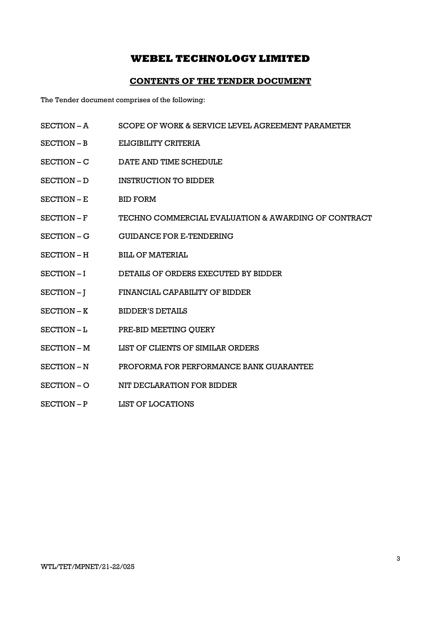### CONTENTS OF THE TENDER DOCUMENT

The Tender document comprises of the following:

- SECTION A SCOPE OF WORK & SERVICE LEVEL AGREEMENT PARAMETER
- SECTION B ELIGIBILITY CRITERIA
- SECTION C DATE AND TIME SCHEDULE
- SECTION D INSTRUCTION TO BIDDER
- SECTION E BID FORM
- SECTION F TECHNO COMMERCIAL EVALUATION & AWARDING OF CONTRACT
- SECTION G GUIDANCE FOR E-TENDERING
- SECTION H BILL OF MATERIAL
- SECTION I DETAILS OF ORDERS EXECUTED BY BIDDER
- SECTION J FINANCIAL CAPABILITY OF BIDDER
- SECTION K BIDDER'S DETAILS
- SECTION L PRE-BID MEETING OUERY
- SECTION M LIST OF CLIENTS OF SIMILAR ORDERS
- SECTION N PROFORMA FOR PERFORMANCE BANK GUARANTEE
- SECTION O NIT DECLARATION FOR BIDDER
- SECTION P LIST OF LOCATIONS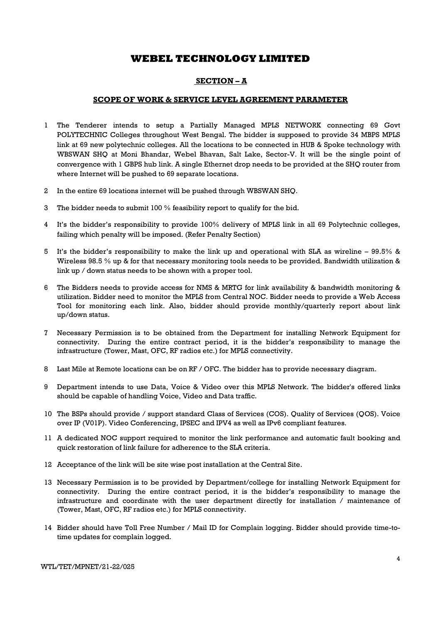### SECTION – A

### SCOPE OF WORK & SERVICE LEVEL AGREEMENT PARAMETER

- 1 The Tenderer intends to setup a Partially Managed MPLS NETWORK connecting 69 Govt POLYTECHNIC Colleges throughout West Bengal. The bidder is supposed to provide 34 MBPS MPLS link at 69 new polytechnic colleges. All the locations to be connected in HUB & Spoke technology with WBSWAN SHQ at Moni Bhandar, Webel Bhavan, Salt Lake, Sector-V. It will be the single point of convergence with 1 GBPS hub link. A single Ethernet drop needs to be provided at the SHQ router from where Internet will be pushed to 69 separate locations.
- 2 In the entire 69 locations internet will be pushed through WBSWAN SHQ.
- 3 The bidder needs to submit 100 % feasibility report to qualify for the bid.
- 4 It's the bidder's responsibility to provide 100% delivery of MPLS link in all 69 Polytechnic colleges, failing which penalty will be imposed. (Refer Penalty Section)
- 5 It's the bidder's responsibility to make the link up and operational with SLA as wireline 99.5% & Wireless 98.5 % up & for that necessary monitoring tools needs to be provided. Bandwidth utilization & link up / down status needs to be shown with a proper tool.
- 6 The Bidders needs to provide access for NMS & MRTG for link availability & bandwidth monitoring & utilization. Bidder need to monitor the MPLS from Central NOC. Bidder needs to provide a Web Access Tool for monitoring each link. Also, bidder should provide monthly/quarterly report about link up/down status.
- 7 Necessary Permission is to be obtained from the Department for installing Network Equipment for connectivity. During the entire contract period, it is the bidder's responsibility to manage the infrastructure (Tower, Mast, OFC, RF radios etc.) for MPLS connectivity.
- 8 Last Mile at Remote locations can be on RF / OFC. The bidder has to provide necessary diagram.
- 9 Department intends to use Data, Voice & Video over this MPLS Network. The bidder's offered links should be capable of handling Voice, Video and Data traffic.
- 10 The BSPs should provide / support standard Class of Services (COS). Quality of Services (QOS). Voice over IP (V01P). Video Conferencing, IPSEC and IPV4 as well as IPv6 compliant features.
- 11 A dedicated NOC support required to monitor the link performance and automatic fault booking and quick restoration of link failure for adherence to the SLA criteria.
- 12 Acceptance of the link will be site wise post installation at the Central Site.
- 13 Necessary Permission is to be provided by Department/college for installing Network Equipment for connectivity. During the entire contract period, it is the bidder's responsibility to manage the infrastructure and coordinate with the user department directly for installation / maintenance of (Tower, Mast, OFC, RF radios etc.) for MPLS connectivity.
- 14 Bidder should have Toll Free Number / Mail ID for Complain logging. Bidder should provide time-totime updates for complain logged.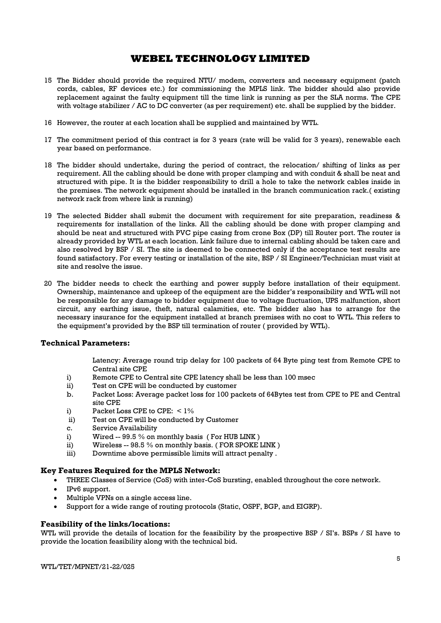- 15 The Bidder should provide the required NTU/ modem, converters and necessary equipment (patch cords, cables, RF devices etc.) for commissioning the MPLS link. The bidder should also provide replacement against the faulty equipment till the time link is running as per the SLA norms. The CPE with voltage stabilizer / AC to DC converter (as per requirement) etc. shall be supplied by the bidder.
- 16 However, the router at each location shall be supplied and maintained by WTL.
- 17 The commitment period of this contract is for 3 years (rate will be valid for 3 years), renewable each year based on performance.
- 18 The bidder should undertake, during the period of contract, the relocation/ shifting of links as per requirement. All the cabling should be done with proper clamping and with conduit & shall be neat and structured with pipe. It is the bidder responsibility to drill a hole to take the network cables inside in the premises. The network equipment should be installed in the branch communication rack.( existing network rack from where link is running)
- 19 The selected Bidder shall submit the document with requirement for site preparation, readiness & requirements for installation of the links. All the cabling should be done with proper clamping and should be neat and structured with PVC pipe casing from crone Box (DP) till Router port. The router is already provided by WTL at each location. Link failure due to internal cabling should be taken care and also resolved by BSP / SI. The site is deemed to be connected only if the acceptance test results are found satisfactory. For every testing or installation of the site, BSP / SI Engineer/Technician must visit at site and resolve the issue.
- 20 The bidder needs to check the earthing and power supply before installation of their equipment. Ownership, maintenance and upkeep of the equipment are the bidder's responsibility and WTL will not be responsible for any damage to bidder equipment due to voltage fluctuation, UPS malfunction, short circuit, any earthing issue, theft, natural calamities, etc. The bidder also has to arrange for the necessary insurance for the equipment installed at branch premises with no cost to WTL. This refers to the equipment's provided by the BSP till termination of router ( provided by WTL).

### Technical Parameters:

Latency: Average round trip delay for 100 packets of 64 Byte ping test from Remote CPE to Central site CPE

- i) Remote CPE to Central site CPE latency shall be less than 100 msec
- ii) Test on CPE will be conducted by customer
- b. Packet Loss: Average packet loss for 100 packets of 64Bytes test from CPE to PE and Central site CPE
- i) Packet Loss CPE to CPE:  $\lt 1\%$
- ii) Test on CPE will be conducted by Customer
- c. Service Availability
- i) Wired -- 99.5 % on monthly basis ( For HUB LINK )
- ii) Wireless -- 98.5 % on monthly basis. (FOR SPOKE LINK)
- iii) Downtime above permissible limits will attract penalty .

### Key Features Required for the MPLS Network:

- THREE Classes of Service (CoS) with inter-CoS bursting, enabled throughout the core network.
- IPv6 support.
- Multiple VPNs on a single access line.
- Support for a wide range of routing protocols (Static, OSPF, BGP, and EIGRP).

### Feasibility of the links/locations:

WTL will provide the details of location for the feasibility by the prospective BSP / SI's. BSPs / SI have to provide the location feasibility along with the technical bid.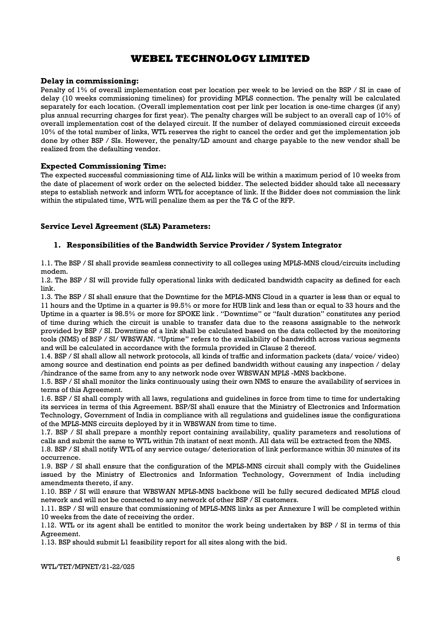### Delay in commissioning:

Penalty of 1% of overall implementation cost per location per week to be levied on the BSP / SI in case of delay (10 weeks commissioning timelines) for providing MPLS connection. The penalty will be calculated separately for each location. (Overall implementation cost per link per location is one-time charges (if any) plus annual recurring charges for first year). The penalty charges will be subject to an overall cap of 10% of overall implementation cost of the delayed circuit. If the number of delayed commissioned circuit exceeds 10% of the total number of links, WTL reserves the right to cancel the order and get the implementation job done by other BSP / SIs. However, the penalty/LD amount and charge payable to the new vendor shall be realized from the defaulting vendor.

### Expected Commissioning Time:

The expected successful commissioning time of ALL links will be within a maximum period of 10 weeks from the date of placement of work order on the selected bidder. The selected bidder should take all necessary steps to establish network and inform WTL for acceptance of link. If the Bidder does not commission the link within the stipulated time, WTL will penalize them as per the T& C of the RFP.

### Service Level Agreement (SLA) Parameters:

### 1. Responsibilities of the Bandwidth Service Provider / System Integrator

1.1. The BSP / SI shall provide seamless connectivity to all colleges using MPLS-MNS cloud/circuits including modem.

1.2. The BSP / SI will provide fully operational links with dedicated bandwidth capacity as defined for each link.

1.3. The BSP / SI shall ensure that the Downtime for the MPLS-MNS Cloud in a quarter is less than or equal to 11 hours and the Uptime in a quarter is 99.5% or more for HUB link and less than or equal to 33 hours and the Uptime in a quarter is 98.5% or more for SPOKE link . "Downtime" or "fault duration" constitutes any period of time during which the circuit is unable to transfer data due to the reasons assignable to the network provided by BSP / SI. Downtime of a link shall be calculated based on the data collected by the monitoring tools (NMS) of BSP / SI/ WBSWAN. "Uptime" refers to the availability of bandwidth across various segments and will be calculated in accordance with the formula provided in Clause 2 thereof.

1.4. BSP / SI shall allow all network protocols, all kinds of traffic and information packets (data/ voice/ video) among source and destination end points as per defined bandwidth without causing any inspection / delay /hindrance of the same from any to any network node over WBSWAN MPLS -MNS backbone.

1.5. BSP / SI shall monitor the links continuously using their own NMS to ensure the availability of services in terms of this Agreement.

1.6. BSP / SI shall comply with all laws, regulations and guidelines in force from time to time for undertaking its services in terms of this Agreement. BSP/SI shall ensure that the Ministry of Electronics and Information Technology, Government of India in compliance with all regulations and guidelines issue the configurations of the MPLS-MNS circuits deployed by it in WBSWAN from time to time.

1.7. BSP / SI shall prepare a monthly report containing availability, quality parameters and resolutions of calls and submit the same to WTL within 7th instant of next month. All data will be extracted from the NMS.

1.8. BSP / SI shall notify WTL of any service outage/ deterioration of link performance within 30 minutes of its occurrence.

1.9. BSP / SI shall ensure that the configuration of the MPLS-MNS circuit shall comply with the Guidelines issued by the Ministry of Electronics and Information Technology, Government of India including amendments thereto, if any.

1.10. BSP / SI will ensure that WBSWAN MPLS-MNS backbone will be fully secured dedicated MPLS cloud network and will not be connected to any network of other BSP / SI customers.

1.11. BSP / SI will ensure that commissioning of MPLS-MNS links as per Annexure I will be completed within 10 weeks from the date of receiving the order.

1.12. WTL or its agent shall be entitled to monitor the work being undertaken by BSP / SI in terms of this Agreement.

1.13. BSP should submit L1 feasibility report for all sites along with the bid.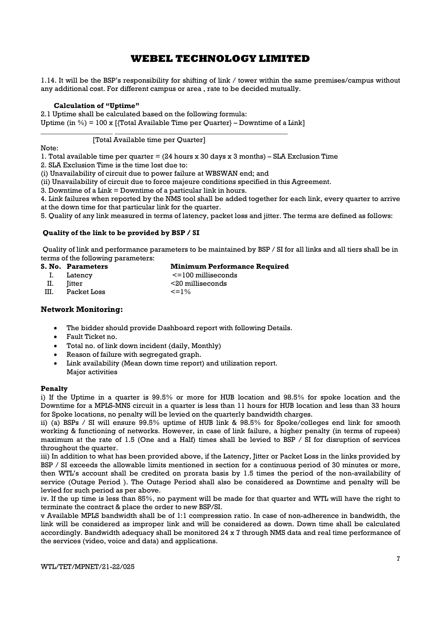1.14. It will be the BSP's responsibility for shifting of link / tower within the same premises/campus without any additional cost. For different campus or area , rate to be decided mutually.

### Calculation of "Uptime"

2.1 Uptime shall be calculated based on the following formula:

Uptime (in  $\%$ ) = 100 x [{Total Available Time per Quarter} – Downtime of a Link]

\_\_\_\_\_\_\_\_\_\_\_\_\_\_\_\_\_\_\_\_ \_\_\_\_\_\_\_\_\_\_\_\_\_\_\_\_\_\_\_\_\_\_\_\_\_\_\_\_\_\_\_\_\_\_\_\_\_\_\_\_\_\_\_\_\_\_\_\_

### [Total Available time per Quarter]

Note:

1. Total available time per quarter = (24 hours x 30 days x 3 months) – SLA Exclusion Time

2. SLA Exclusion Time is the time lost due to:

(i) Unavailability of circuit due to power failure at WBSWAN end; and

(ii) Unavailability of circuit due to force majeure conditions specified in this Agreement.

3. Downtime of a Link = Downtime of a particular link in hours.

4. Link failures when reported by the NMS tool shall be added together for each link, every quarter to arrive at the down time for that particular link for the quarter.

5. Quality of any link measured in terms of latency, packet loss and jitter. The terms are defined as follows:

### Quality of the link to be provided by BSP / SI

 Quality of link and performance parameters to be maintained by BSP / SI for all links and all tiers shall be in terms of the following parameters:

| S. No. Parameters | <b>Minimum Performance Required</b> |
|-------------------|-------------------------------------|
| Latency           | $\le$ = 100 milliseconds            |

II. Jitter <20 milliseconds

III. Packet Loss  $\leq 1\%$ 

### Network Monitoring:

- The bidder should provide Dashboard report with following Details.
- Fault Ticket no.
- Total no. of link down incident (daily, Monthly)
- Reason of failure with segregated graph.
- Link availability (Mean down time report) and utilization report. Major activities

### Penalty

i) If the Uptime in a quarter is 99.5% or more for HUB location and 98.5% for spoke location and the Downtime for a MPLS-MNS circuit in a quarter is less than 11 hours for HUB location and less than 33 hours for Spoke locations, no penalty will be levied on the quarterly bandwidth charges.

ii) (a) BSPs / SI will ensure 99.5% uptime of HUB link & 98.5% for Spoke/colleges end link for smooth working & functioning of networks. However, in case of link failure, a higher penalty (in terms of rupees) maximum at the rate of 1.5 (One and a Half) times shall be levied to BSP / SI for disruption of services throughout the quarter.

iii) In addition to what has been provided above, if the Latency, Jitter or Packet Loss in the links provided by BSP / SI exceeds the allowable limits mentioned in section for a continuous period of 30 minutes or more, then WTL's account shall be credited on prorata basis by 1.5 times the period of the non-availability of service (Outage Period ). The Outage Period shall also be considered as Downtime and penalty will be levied for such period as per above.

iv. If the up time is less than 85%, no payment will be made for that quarter and WTL will have the right to terminate the contract & place the order to new BSP/SI.

v Available MPLS bandwidth shall be of 1:1 compression ratio. In case of non-adherence in bandwidth, the link will be considered as improper link and will be considered as down. Down time shall be calculated accordingly. Bandwidth adequacy shall be monitored 24 x 7 through NMS data and real time performance of the services (video, voice and data) and applications.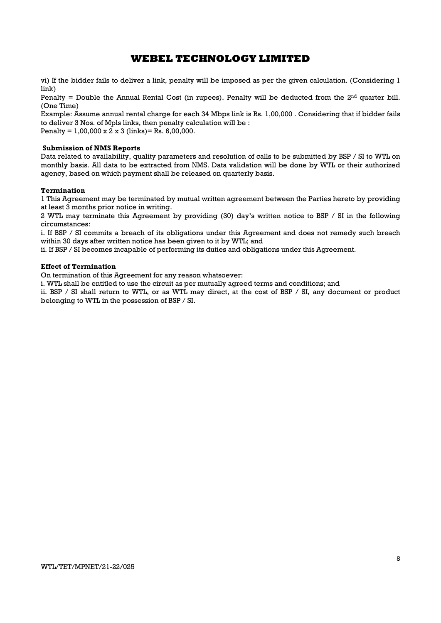vi) If the bidder fails to deliver a link, penalty will be imposed as per the given calculation. (Considering 1 link)

Penalty = Double the Annual Rental Cost (in rupees). Penalty will be deducted from the  $2<sup>nd</sup>$  quarter bill. (One Time)

Example: Assume annual rental charge for each 34 Mbps link is Rs. 1,00,000 . Considering that if bidder fails to deliver 3 Nos. of Mpls links, then penalty calculation will be : Penalty =  $1,00,000 \times 2 \times 3$  (links) = Rs. 6,00,000.

Submission of NMS Reports

Data related to availability, quality parameters and resolution of calls to be submitted by BSP / SI to WTL on monthly basis. All data to be extracted from NMS. Data validation will be done by WTL or their authorized agency, based on which payment shall be released on quarterly basis.

### Termination

1 This Agreement may be terminated by mutual written agreement between the Parties hereto by providing at least 3 months prior notice in writing.

2 WTL may terminate this Agreement by providing (30) day's written notice to BSP / SI in the following circumstances:

i. If BSP / SI commits a breach of its obligations under this Agreement and does not remedy such breach within 30 days after written notice has been given to it by WTL; and

ii. If BSP / SI becomes incapable of performing its duties and obligations under this Agreement.

### Effect of Termination

On termination of this Agreement for any reason whatsoever:

i. WTL shall be entitled to use the circuit as per mutually agreed terms and conditions; and

ii. BSP / SI shall return to WTL, or as WTL may direct, at the cost of BSP / SI, any document or product belonging to WTL in the possession of BSP / SI.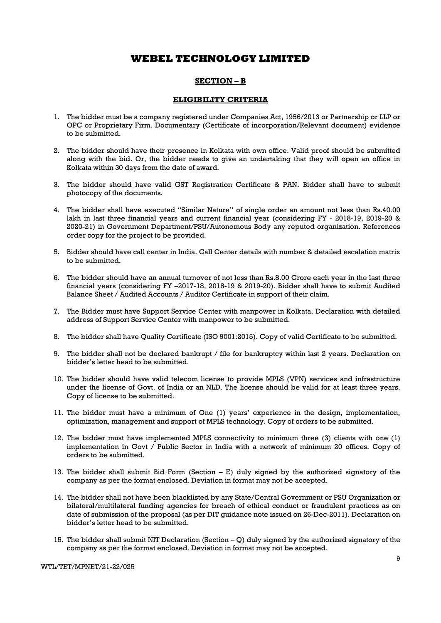### SECTION – B

### ELIGIBILITY CRITERIA

- 1. The bidder must be a company registered under Companies Act, 1956/2013 or Partnership or LLP or OPC or Proprietary Firm. Documentary (Certificate of incorporation/Relevant document) evidence to be submitted.
- 2. The bidder should have their presence in Kolkata with own office. Valid proof should be submitted along with the bid. Or, the bidder needs to give an undertaking that they will open an office in Kolkata within 30 days from the date of award.
- 3. The bidder should have valid GST Registration Certificate & PAN. Bidder shall have to submit photocopy of the documents.
- 4. The bidder shall have executed "Similar Nature" of single order an amount not less than Rs.40.00 lakh in last three financial years and current financial year (considering FY - 2018-19, 2019-20 & 2020-21) in Government Department/PSU/Autonomous Body any reputed organization. References order copy for the project to be provided.
- 5. Bidder should have call center in India. Call Center details with number & detailed escalation matrix to be submitted.
- 6. The bidder should have an annual turnover of not less than Rs.8.00 Crore each year in the last three financial years (considering FY –2017-18, 2018-19 & 2019-20). Bidder shall have to submit Audited Balance Sheet / Audited Accounts / Auditor Certificate in support of their claim.
- 7. The Bidder must have Support Service Center with manpower in Kolkata. Declaration with detailed address of Support Service Center with manpower to be submitted.
- 8. The bidder shall have Quality Certificate (ISO 9001:2015). Copy of valid Certificate to be submitted.
- 9. The bidder shall not be declared bankrupt / file for bankruptcy within last 2 years. Declaration on bidder's letter head to be submitted.
- 10. The bidder should have valid telecom license to provide MPLS (VPN) services and infrastructure under the license of Govt. of India or an NLD. The license should be valid for at least three years. Copy of license to be submitted.
- 11. The bidder must have a minimum of One (1) years' experience in the design, implementation, optimization, management and support of MPLS technology. Copy of orders to be submitted.
- 12. The bidder must have implemented MPLS connectivity to minimum three (3) clients with one (1) implementation in Govt / Public Sector in India with a network of minimum 20 offices. Copy of orders to be submitted.
- 13. The bidder shall submit Bid Form (Section E) duly signed by the authorized signatory of the company as per the format enclosed. Deviation in format may not be accepted.
- 14. The bidder shall not have been blacklisted by any State/Central Government or PSU Organization or bilateral/multilateral funding agencies for breach of ethical conduct or fraudulent practices as on date of submission of the proposal (as per DIT guidance note issued on 26-Dec-2011). Declaration on bidder's letter head to be submitted.
- 15. The bidder shall submit NIT Declaration (Section Q) duly signed by the authorized signatory of the company as per the format enclosed. Deviation in format may not be accepted.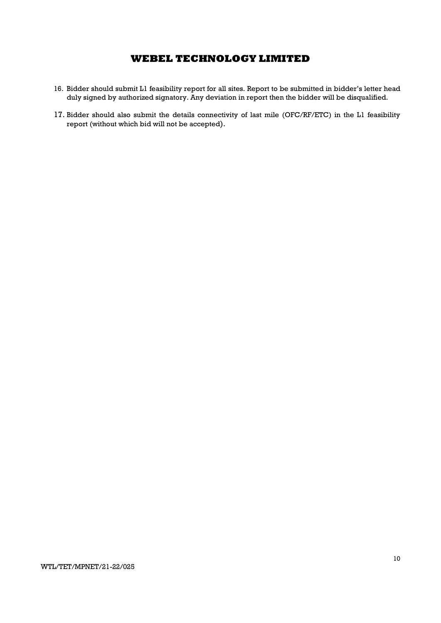- 16. Bidder should submit L1 feasibility report for all sites. Report to be submitted in bidder's letter head duly signed by authorized signatory. Any deviation in report then the bidder will be disqualified.
- 17. Bidder should also submit the details connectivity of last mile (OFC/RF/ETC) in the L1 feasibility report (without which bid will not be accepted).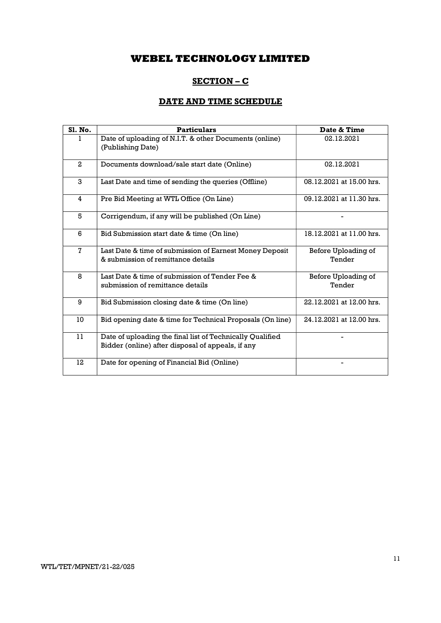## SECTION – C

## DATE AND TIME SCHEDULE

| Sl. No.        | <b>Particulars</b>                                                                                             | Date & Time                   |
|----------------|----------------------------------------------------------------------------------------------------------------|-------------------------------|
|                | Date of uploading of N.I.T. & other Documents (online)<br>(Publishing Date)                                    | 02.12.2021                    |
| $\mathbf{2}$   | Documents download/sale start date (Online)                                                                    | 02.12.2021                    |
| 3              | Last Date and time of sending the queries (Offline)                                                            | 08.12.2021 at 15.00 hrs.      |
| 4              | Pre Bid Meeting at WTL Office (On Line)                                                                        | 09.12.2021 at 11.30 hrs.      |
| 5              | Corrigendum, if any will be published (On Line)                                                                |                               |
| 6              | Bid Submission start date & time (On line)                                                                     | 18.12.2021 at 11.00 hrs.      |
| $\overline{7}$ | Last Date & time of submission of Earnest Money Deposit<br>& submission of remittance details                  | Before Uploading of<br>Tender |
| 8              | Last Date & time of submission of Tender Fee &<br>submission of remittance details                             | Before Uploading of<br>Tender |
| 9              | Bid Submission closing date & time (On line)                                                                   | 22.12.2021 at 12.00 hrs.      |
| 10             | Bid opening date & time for Technical Proposals (On line)                                                      | 24.12.2021 at 12.00 hrs.      |
| 11             | Date of uploading the final list of Technically Qualified<br>Bidder (online) after disposal of appeals, if any |                               |
| 12             | Date for opening of Financial Bid (Online)                                                                     |                               |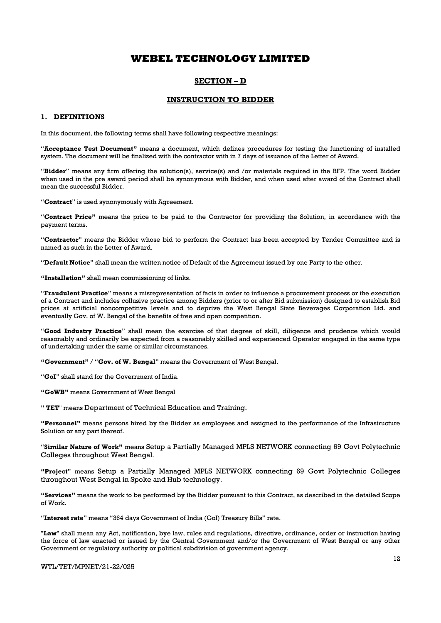### SECTION – D

### INSTRUCTION TO BIDDER

#### 1. DEFINITIONS

In this document, the following terms shall have following respective meanings:

"Acceptance Test Document" means a document, which defines procedures for testing the functioning of installed system. The document will be finalized with the contractor with in 7 days of issuance of the Letter of Award.

"Bidder" means any firm offering the solution(s), service(s) and /or materials required in the RFP. The word Bidder when used in the pre award period shall be synonymous with Bidder, and when used after award of the Contract shall mean the successful Bidder.

"Contract" is used synonymously with Agreement.

"Contract Price" means the price to be paid to the Contractor for providing the Solution, in accordance with the payment terms.

"Contractor" means the Bidder whose bid to perform the Contract has been accepted by Tender Committee and is named as such in the Letter of Award.

"Default Notice" shall mean the written notice of Default of the Agreement issued by one Party to the other.

"Installation" shall mean commissioning of links.

"Fraudulent Practice" means a misrepresentation of facts in order to influence a procurement process or the execution of a Contract and includes collusive practice among Bidders (prior to or after Bid submission) designed to establish Bid prices at artificial noncompetitive levels and to deprive the West Bengal State Beverages Corporation Ltd. and eventually Gov. of W. Bengal of the benefits of free and open competition.

"Good Industry Practice" shall mean the exercise of that degree of skill, diligence and prudence which would reasonably and ordinarily be expected from a reasonably skilled and experienced Operator engaged in the same type of undertaking under the same or similar circumstances.

"Government" / "Gov. of W. Bengal" means the Government of West Bengal.

"GoI" shall stand for the Government of India.

"GoWB" means Government of West Bengal

" TET" means Department of Technical Education and Training.

"Personnel" means persons hired by the Bidder as employees and assigned to the performance of the Infrastructure Solution or any part thereof.

"Similar Nature of Work" means Setup a Partially Managed MPLS NETWORK connecting 69 Govt Polytechnic Colleges throughout West Bengal.

"Project" means Setup a Partially Managed MPLS NETWORK connecting 69 Govt Polytechnic Colleges throughout West Bengal in Spoke and Hub technology.

"Services" means the work to be performed by the Bidder pursuant to this Contract, as described in the detailed Scope of Work.

"Interest rate" means "364 days Government of India (GoI) Treasury Bills" rate.

"Law" shall mean any Act, notification, bye law, rules and regulations, directive, ordinance, order or instruction having the force of law enacted or issued by the Central Government and/or the Government of West Bengal or any other Government or regulatory authority or political subdivision of government agency.

#### WTL/TET/MPNET/21-22/025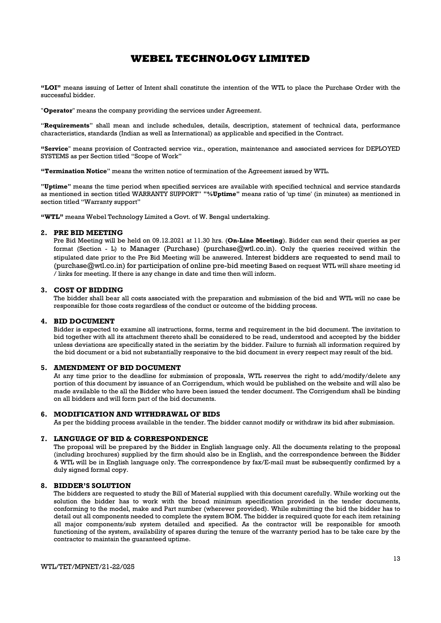"LOI" means issuing of Letter of Intent shall constitute the intention of the WTL to place the Purchase Order with the successful bidder.

"**Operator**" means the company providing the services under Agreement.

"Requirements" shall mean and include schedules, details, description, statement of technical data, performance characteristics, standards (Indian as well as International) as applicable and specified in the Contract.

"Service" means provision of Contracted service viz., operation, maintenance and associated services for DEPLOYED SYSTEMS as per Section titled "Scope of Work"

"Termination Notice" means the written notice of termination of the Agreement issued by WTL.

"Uptime" means the time period when specified services are available with specified technical and service standards as mentioned in section titled WARRANTY SUPPORT" "%Uptime" means ratio of 'up time' (in minutes) as mentioned in section titled "Warranty support"

"WTL" means Webel Technology Limited a Govt. of W. Bengal undertaking.

#### 2. PRE BID MEETING

Pre Bid Meeting will be held on 09.12.2021 at 11.30 hrs. (On-Line Meeting). Bidder can send their queries as per format (Section - L) to Manager (Purchase) (purchase $@wtl.co.in$ ). Only the queries received within the stipulated date prior to the Pre Bid Meeting will be answered. Interest bidders are requested to send mail to (purchase@wtl.co.in) for participation of online pre-bid meeting Based on request WTL will share meeting id / links for meeting. If there is any change in date and time then will inform.

#### 3. COST OF BIDDING

The bidder shall bear all costs associated with the preparation and submission of the bid and WTL will no case be responsible for those costs regardless of the conduct or outcome of the bidding process.

#### 4. BID DOCUMENT

Bidder is expected to examine all instructions, forms, terms and requirement in the bid document. The invitation to bid together with all its attachment thereto shall be considered to be read, understood and accepted by the bidder unless deviations are specifically stated in the seriatim by the bidder. Failure to furnish all information required by the bid document or a bid not substantially responsive to the bid document in every respect may result of the bid.

### 5. AMENDMENT OF BID DOCUMENT

At any time prior to the deadline for submission of proposals, WTL reserves the right to add/modify/delete any portion of this document by issuance of an Corrigendum, which would be published on the website and will also be made available to the all the Bidder who have been issued the tender document. The Corrigendum shall be binding on all bidders and will form part of the bid documents.

#### 6. MODIFICATION AND WITHDRAWAL OF BIDS

As per the bidding process available in the tender. The bidder cannot modify or withdraw its bid after submission.

#### 7. LANGUAGE OF BID & CORRESPONDENCE

The proposal will be prepared by the Bidder in English language only. All the documents relating to the proposal (including brochures) supplied by the firm should also be in English, and the correspondence between the Bidder & WTL will be in English language only. The correspondence by fax/E-mail must be subsequently confirmed by a duly signed formal copy.

### 8. BIDDER'S SOLUTION

The bidders are requested to study the Bill of Material supplied with this document carefully. While working out the solution the bidder has to work with the broad minimum specification provided in the tender documents, conforming to the model, make and Part number (wherever provided). While submitting the bid the bidder has to detail out all components needed to complete the system BOM. The bidder is required quote for each item retaining all major components/sub system detailed and specified. As the contractor will be responsible for smooth functioning of the system, availability of spares during the tenure of the warranty period has to be take care by the contractor to maintain the guaranteed uptime.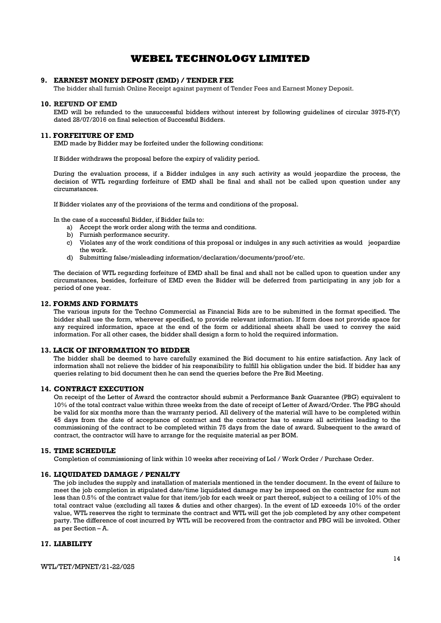### 9. EARNEST MONEY DEPOSIT (EMD) / TENDER FEE

The bidder shall furnish Online Receipt against payment of Tender Fees and Earnest Money Deposit.

#### 10. REFUND OF EMD

EMD will be refunded to the unsuccessful bidders without interest by following guidelines of circular 3975-F(Y) dated 28/07/2016 on final selection of Successful Bidders.

#### 11. FORFEITURE OF EMD

EMD made by Bidder may be forfeited under the following conditions:

If Bidder withdraws the proposal before the expiry of validity period.

During the evaluation process, if a Bidder indulges in any such activity as would jeopardize the process, the decision of WTL regarding forfeiture of EMD shall be final and shall not be called upon question under any circumstances.

If Bidder violates any of the provisions of the terms and conditions of the proposal.

In the case of a successful Bidder, if Bidder fails to:

- a) Accept the work order along with the terms and conditions.
- b) Furnish performance security.
- c) Violates any of the work conditions of this proposal or indulges in any such activities as would jeopardize the work.
- d) Submitting false/misleading information/declaration/documents/proof/etc.

The decision of WTL regarding forfeiture of EMD shall be final and shall not be called upon to question under any circumstances, besides, forfeiture of EMD even the Bidder will be deferred from participating in any job for a period of one year.

### 12. FORMS AND FORMATS

The various inputs for the Techno Commercial as Financial Bids are to be submitted in the format specified. The bidder shall use the form, wherever specified, to provide relevant information. If form does not provide space for any required information, space at the end of the form or additional sheets shall be used to convey the said information. For all other cases, the bidder shall design a form to hold the required information.

#### 13. LACK OF INFORMATION TO BIDDER

The bidder shall be deemed to have carefully examined the Bid document to his entire satisfaction. Any lack of information shall not relieve the bidder of his responsibility to fulfill his obligation under the bid. If bidder has any queries relating to bid document then he can send the queries before the Pre Bid Meeting.

#### 14. CONTRACT EXECUTION

On receipt of the Letter of Award the contractor should submit a Performance Bank Guarantee (PBG) equivalent to 10% of the total contract value within three weeks from the date of receipt of Letter of Award/Order. The PBG should be valid for six months more than the warranty period. All delivery of the material will have to be completed within 45 days from the date of acceptance of contract and the contractor has to ensure all activities leading to the commissioning of the contract to be completed within 75 days from the date of award. Subsequent to the award of contract, the contractor will have to arrange for the requisite material as per BOM.

#### 15. TIME SCHEDULE

Completion of commissioning of link within 10 weeks after receiving of LoI / Work Order / Purchase Order.

#### 16. LIQUIDATED DAMAGE / PENALTY

The job includes the supply and installation of materials mentioned in the tender document. In the event of failure to meet the job completion in stipulated date/time liquidated damage may be imposed on the contractor for sum not less than 0.5% of the contract value for that item/job for each week or part thereof, subject to a ceiling of 10% of the total contract value (excluding all taxes & duties and other charges). In the event of LD exceeds 10% of the order value, WTL reserves the right to terminate the contract and WTL will get the job completed by any other competent party. The difference of cost incurred by WTL will be recovered from the contractor and PBG will be invoked. Other as per Section – A.

### 17. LIABILITY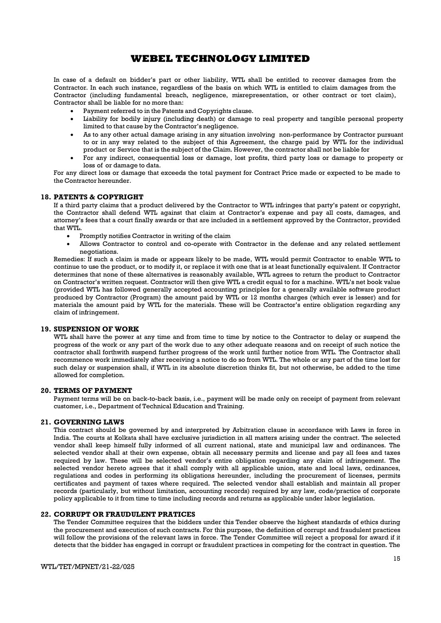In case of a default on bidder's part or other liability, WTL shall be entitled to recover damages from the Contractor. In each such instance, regardless of the basis on which WTL is entitled to claim damages from the Contractor (including fundamental breach, negligence, misrepresentation, or other contract or tort claim), Contractor shall be liable for no more than:

- Payment referred to in the Patents and Copyrights clause.
- Liability for bodily injury (including death) or damage to real property and tangible personal property limited to that cause by the Contractor's negligence.
- As to any other actual damage arising in any situation involving non-performance by Contractor pursuant to or in any way related to the subject of this Agreement, the charge paid by WTL for the individual product or Service that is the subject of the Claim. However, the contractor shall not be liable for
- For any indirect, consequential loss or damage, lost profits, third party loss or damage to property or loss of or damage to data.

For any direct loss or damage that exceeds the total payment for Contract Price made or expected to be made to the Contractor hereunder.

#### 18. PATENTS & COPYRIGHT

If a third party claims that a product delivered by the Contractor to WTL infringes that party's patent or copyright, the Contractor shall defend WTL against that claim at Contractor's expense and pay all costs, damages, and attorney's fees that a court finally awards or that are included in a settlement approved by the Contractor, provided that WTL.

- Promptly notifies Contractor in writing of the claim
- Allows Contractor to control and co-operate with Contractor in the defense and any related settlement negotiations.

Remedies: If such a claim is made or appears likely to be made, WTL would permit Contractor to enable WTL to continue to use the product, or to modify it, or replace it with one that is at least functionally equivalent. If Contractor determines that none of these alternatives is reasonably available, WTL agrees to return the product to Contractor on Contractor's written request. Contractor will then give WTL a credit equal to for a machine. WTL's net book value (provided WTL has followed generally accepted accounting principles for a generally available software product produced by Contractor (Program) the amount paid by WTL or 12 months charges (which ever is lesser) and for materials the amount paid by WTL for the materials. These will be Contractor's entire obligation regarding any claim of infringement.

#### 19. SUSPENSION OF WORK

WTL shall have the power at any time and from time to time by notice to the Contractor to delay or suspend the progress of the work or any part of the work due to any other adequate reasons and on receipt of such notice the contractor shall forthwith suspend further progress of the work until further notice from WTL. The Contractor shall recommence work immediately after receiving a notice to do so from WTL. The whole or any part of the time lost for such delay or suspension shall, if WTL in its absolute discretion thinks fit, but not otherwise, be added to the time allowed for completion.

#### 20. TERMS OF PAYMENT

Payment terms will be on back-to-back basis, i.e., payment will be made only on receipt of payment from relevant customer, i.e., Department of Technical Education and Training.

### 21. GOVERNING LAWS

This contract should be governed by and interpreted by Arbitration clause in accordance with Laws in force in India. The courts at Kolkata shall have exclusive jurisdiction in all matters arising under the contract. The selected vendor shall keep himself fully informed of all current national, state and municipal law and ordinances. The selected vendor shall at their own expense, obtain all necessary permits and license and pay all fees and taxes required by law. These will be selected vendor's entire obligation regarding any claim of infringement. The selected vendor hereto agrees that it shall comply with all applicable union, state and local laws, ordinances, regulations and codes in performing its obligations hereunder, including the procurement of licenses, permits certificates and payment of taxes where required. The selected vendor shall establish and maintain all proper records (particularly, but without limitation, accounting records) required by any law, code/practice of corporate policy applicable to it from time to time including records and returns as applicable under labor legislation.

### 22. CORRUPT OR FRAUDULENT PRATICES

The Tender Committee requires that the bidders under this Tender observe the highest standards of ethics during the procurement and execution of such contracts. For this purpose, the definition of corrupt and fraudulent practices will follow the provisions of the relevant laws in force. The Tender Committee will reject a proposal for award if it detects that the bidder has engaged in corrupt or fraudulent practices in competing for the contract in question. The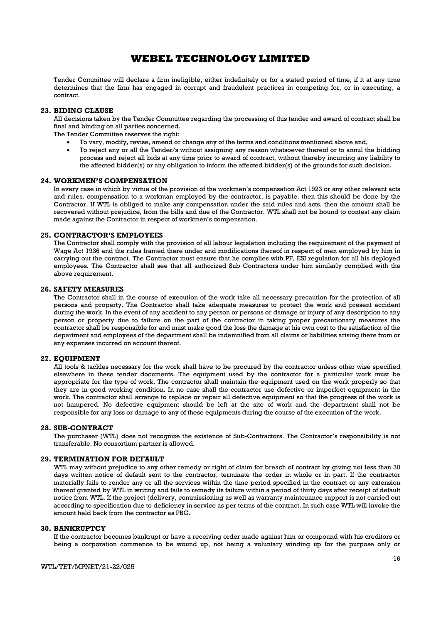Tender Committee will declare a firm ineligible, either indefinitely or for a stated period of time, if it at any time determines that the firm has engaged in corrupt and fraudulent practices in competing for, or in executing, a contract.

### 23. BIDING CLAUSE

All decisions taken by the Tender Committee regarding the processing of this tender and award of contract shall be final and binding on all parties concerned.

The Tender Committee reserves the right:

- To vary, modify, revise, amend or change any of the terms and conditions mentioned above and,
- To reject any or all the Tender/s without assigning any reason whatsoever thereof or to annul the bidding process and reject all bids at any time prior to award of contract, without thereby incurring any liability to the affected bidder(s) or any obligation to inform the affected bidder(s) of the grounds for such decision.

#### 24. WORKMEN'S COMPENSATION

In every case in which by virtue of the provision of the workmen's compensation Act 1923 or any other relevant acts and rules, compensation to a workman employed by the contractor, is payable, then this should be done by the Contractor. If WTL is obliged to make any compensation under the said rules and acts, then the amount shall be recovered without prejudice, from the bills and due of the Contractor. WTL shall not be bound to contest any claim made against the Contractor in respect of workmen's compensation.

#### 25. CONTRACTOR'S EMPLOYEES

The Contractor shall comply with the provision of all labour legislation including the requirement of the payment of Wage Act 1936 and the rules framed there under and modifications thereof in respect of men employed by him in carrying out the contract. The Contractor must ensure that he complies with PF, ESI regulation for all his deployed employees. The Contractor shall see that all authorized Sub Contractors under him similarly complied with the above requirement.

### 26. SAFETY MEASURES

The Contractor shall in the course of execution of the work take all necessary precaution for the protection of all persons and property. The Contractor shall take adequate measures to protect the work and present accident during the work. In the event of any accident to any person or persons or damage or injury of any description to any person or property due to failure on the part of the contractor in taking proper precautionary measures the contractor shall be responsible for and must make good the loss the damage at his own cost to the satisfaction of the department and employees of the department shall be indemnified from all claims or liabilities arising there from or any expenses incurred on account thereof.

#### 27. EQUIPMENT

All tools & tackles necessary for the work shall have to be procured by the contractor unless other wise specified elsewhere in these tender documents. The equipment used by the contractor for a particular work must be appropriate for the type of work. The contractor shall maintain the equipment used on the work properly so that they are in good working condition. In no case shall the contractor use defective or imperfect equipment in the work. The contractor shall arrange to replace or repair all defective equipment so that the progress of the work is not hampered. No defective equipment should be left at the site of work and the department shall not be responsible for any loss or damage to any of these equipments during the course of the execution of the work.

#### 28. SUB-CONTRACT

The purchaser (WTL) does not recognize the existence of Sub-Contractors. The Contractor's responsibility is not transferable. No consortium partner is allowed.

### 29. TERMINATION FOR DEFAULT

WTL may without prejudice to any other remedy or right of claim for breach of contract by giving not less than 30 days written notice of default sent to the contractor, terminate the order in whole or in part. If the contractor materially fails to render any or all the services within the time period specified in the contract or any extension thereof granted by WTL in writing and fails to remedy its failure within a period of thirty days after receipt of default notice from WTL. If the project (delivery, commissioning as well as warranty maintenance support is not carried out according to specification due to deficiency in service as per terms of the contract. In such case WTL will invoke the amount held back from the contractor as PBG.

#### 30. BANKRUPTCY

If the contractor becomes bankrupt or have a receiving order made against him or compound with his creditors or being a corporation commence to be wound up, not being a voluntary winding up for the purpose only or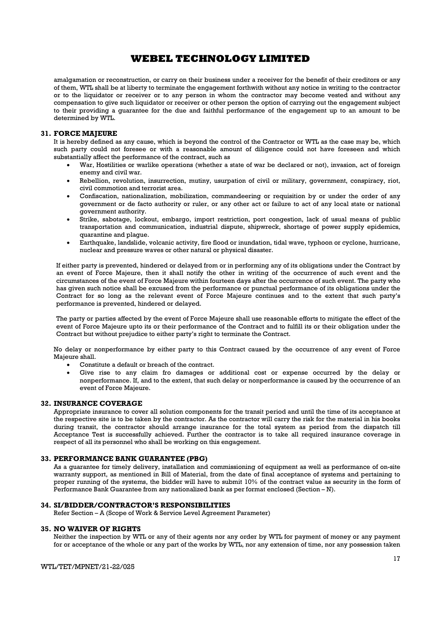amalgamation or reconstruction, or carry on their business under a receiver for the benefit of their creditors or any of them, WTL shall be at liberty to terminate the engagement forthwith without any notice in writing to the contractor or to the liquidator or receiver or to any person in whom the contractor may become vested and without any compensation to give such liquidator or receiver or other person the option of carrying out the engagement subject to their providing a guarantee for the due and faithful performance of the engagement up to an amount to be determined by WTL.

### 31. FORCE MAJEURE

It is hereby defined as any cause, which is beyond the control of the Contractor or WTL as the case may be, which such party could not foresee or with a reasonable amount of diligence could not have foreseen and which substantially affect the performance of the contract, such as

- War, Hostilities or warlike operations (whether a state of war be declared or not), invasion, act of foreign enemy and civil war.
- Rebellion, revolution, insurrection, mutiny, usurpation of civil or military, government, conspiracy, riot, civil commotion and terrorist area.
- Confiscation, nationalization, mobilization, commandeering or requisition by or under the order of any government or de facto authority or ruler, or any other act or failure to act of any local state or national government authority.
- Strike, sabotage, lockout, embargo, import restriction, port congestion, lack of usual means of public transportation and communication, industrial dispute, shipwreck, shortage of power supply epidemics, quarantine and plague.
- Earthquake, landslide, volcanic activity, fire flood or inundation, tidal wave, typhoon or cyclone, hurricane, nuclear and pressure waves or other natural or physical disaster.

If either party is prevented, hindered or delayed from or in performing any of its obligations under the Contract by an event of Force Majeure, then it shall notify the other in writing of the occurrence of such event and the circumstances of the event of Force Majeure within fourteen days after the occurrence of such event. The party who has given such notice shall be excused from the performance or punctual performance of its obligations under the Contract for so long as the relevant event of Force Majeure continues and to the extent that such party's performance is prevented, hindered or delayed.

The party or parties affected by the event of Force Majeure shall use reasonable efforts to mitigate the effect of the event of Force Majeure upto its or their performance of the Contract and to fulfill its or their obligation under the Contract but without prejudice to either party's right to terminate the Contract.

No delay or nonperformance by either party to this Contract caused by the occurrence of any event of Force Majeure shall.

- Constitute a default or breach of the contract.
- Give rise to any claim fro damages or additional cost or expense occurred by the delay or nonperformance. If, and to the extent, that such delay or nonperformance is caused by the occurrence of an event of Force Majeure.

### 32. INSURANCE COVERAGE

Appropriate insurance to cover all solution components for the transit period and until the time of its acceptance at the respective site is to be taken by the contractor. As the contractor will carry the risk for the material in his books during transit, the contractor should arrange insurance for the total system as period from the dispatch till Acceptance Test is successfully achieved. Further the contractor is to take all required insurance coverage in respect of all its personnel who shall be working on this engagement.

#### 33. PERFORMANCE BANK GUARANTEE (PBG)

As a guarantee for timely delivery, installation and commissioning of equipment as well as performance of on-site warranty support, as mentioned in Bill of Material, from the date of final acceptance of systems and pertaining to proper running of the systems, the bidder will have to submit 10% of the contract value as security in the form of Performance Bank Guarantee from any nationalized bank as per format enclosed (Section – N).

### 34. SI/BIDDER/CONTRACTOR'S RESPONSIBILITIES

Refer Section – A (Scope of Work & Service Level Agreement Parameter)

#### 35. NO WAIVER OF RIGHTS

Neither the inspection by WTL or any of their agents nor any order by WTL for payment of money or any payment for or acceptance of the whole or any part of the works by WTL, nor any extension of time, nor any possession taken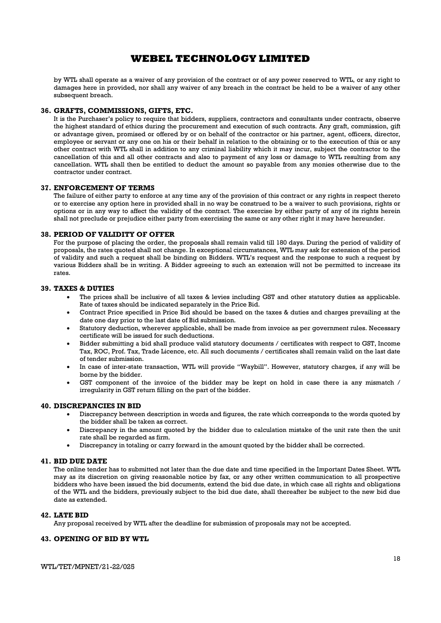by WTL shall operate as a waiver of any provision of the contract or of any power reserved to WTL, or any right to damages here in provided, nor shall any waiver of any breach in the contract be held to be a waiver of any other subsequent breach.

### 36. GRAFTS, COMMISSIONS, GIFTS, ETC.

It is the Purchaser's policy to require that bidders, suppliers, contractors and consultants under contracts, observe the highest standard of ethics during the procurement and execution of such contracts. Any graft, commission, gift or advantage given, promised or offered by or on behalf of the contractor or his partner, agent, officers, director, employee or servant or any one on his or their behalf in relation to the obtaining or to the execution of this or any other contract with WTL shall in addition to any criminal liability which it may incur, subject the contractor to the cancellation of this and all other contracts and also to payment of any loss or damage to WTL resulting from any cancellation. WTL shall then be entitled to deduct the amount so payable from any monies otherwise due to the contractor under contract.

### 37. ENFORCEMENT OF TERMS

The failure of either party to enforce at any time any of the provision of this contract or any rights in respect thereto or to exercise any option here in provided shall in no way be construed to be a waiver to such provisions, rights or options or in any way to affect the validity of the contract. The exercise by either party of any of its rights herein shall not preclude or prejudice either party from exercising the same or any other right it may have hereunder.

### 38. PERIOD OF VALIDITY OF OFFER

For the purpose of placing the order, the proposals shall remain valid till 180 days. During the period of validity of proposals, the rates quoted shall not change. In exceptional circumstances, WTL may ask for extension of the period of validity and such a request shall be binding on Bidders. WTL's request and the response to such a request by various Bidders shall be in writing. A Bidder agreeing to such an extension will not be permitted to increase its rates.

#### 39. TAXES & DUTIES

- The prices shall be inclusive of all taxes & levies including GST and other statutory duties as applicable. Rate of taxes should be indicated separately in the Price Bid.
- Contract Price specified in Price Bid should be based on the taxes & duties and charges prevailing at the date one day prior to the last date of Bid submission.
- Statutory deduction, wherever applicable, shall be made from invoice as per government rules. Necessary certificate will be issued for such deductions.
- Bidder submitting a bid shall produce valid statutory documents / certificates with respect to GST, Income Tax, ROC, Prof. Tax, Trade Licence, etc. All such documents / certificates shall remain valid on the last date of tender submission.
- In case of inter-state transaction, WTL will provide "Waybill". However, statutory charges, if any will be borne by the bidder.
- GST component of the invoice of the bidder may be kept on hold in case there ia any mismatch / irregularity in GST return filling on the part of the bidder.

### 40. DISCREPANCIES IN BID

- Discrepancy between description in words and figures, the rate which corresponds to the words quoted by the bidder shall be taken as correct.
- Discrepancy in the amount quoted by the bidder due to calculation mistake of the unit rate then the unit rate shall be regarded as firm.
- Discrepancy in totaling or carry forward in the amount quoted by the bidder shall be corrected.

#### 41. BID DUE DATE

The online tender has to submitted not later than the due date and time specified in the Important Dates Sheet. WTL may as its discretion on giving reasonable notice by fax, or any other written communication to all prospective bidders who have been issued the bid documents, extend the bid due date, in which case all rights and obligations of the WTL and the bidders, previously subject to the bid due date, shall thereafter be subject to the new bid due date as extended.

#### 42. LATE BID

Any proposal received by WTL after the deadline for submission of proposals may not be accepted.

### 43. OPENING OF BID BY WTL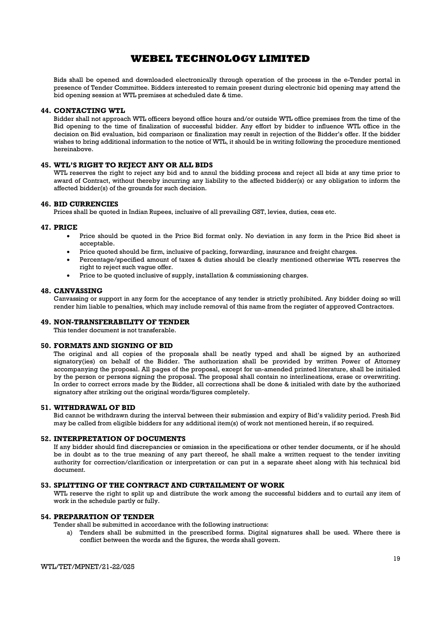Bids shall be opened and downloaded electronically through operation of the process in the e-Tender portal in presence of Tender Committee. Bidders interested to remain present during electronic bid opening may attend the bid opening session at WTL premises at scheduled date & time.

### 44. CONTACTING WTL

Bidder shall not approach WTL officers beyond office hours and/or outside WTL office premises from the time of the Bid opening to the time of finalization of successful bidder. Any effort by bidder to influence WTL office in the decision on Bid evaluation, bid comparison or finalization may result in rejection of the Bidder's offer. If the bidder wishes to bring additional information to the notice of WTL, it should be in writing following the procedure mentioned hereinabove.

### 45. WTL'S RIGHT TO REJECT ANY OR ALL BIDS

WTL reserves the right to reject any bid and to annul the bidding process and reject all bids at any time prior to award of Contract, without thereby incurring any liability to the affected bidder(s) or any obligation to inform the affected bidder(s) of the grounds for such decision.

### 46. BID CURRENCIES

Prices shall be quoted in Indian Rupees, inclusive of all prevailing GST, levies, duties, cess etc.

#### 47. PRICE

- Price should be quoted in the Price Bid format only. No deviation in any form in the Price Bid sheet is acceptable.
- Price quoted should be firm, inclusive of packing, forwarding, insurance and freight charges.
- Percentage/specified amount of taxes & duties should be clearly mentioned otherwise WTL reserves the right to reject such vague offer.
- Price to be quoted inclusive of supply, installation & commissioning charges.

### 48. CANVASSING

Canvassing or support in any form for the acceptance of any tender is strictly prohibited. Any bidder doing so will render him liable to penalties, which may include removal of this name from the register of approved Contractors.

#### 49. NON-TRANSFERABILITY OF TENDER

This tender document is not transferable.

### 50. FORMATS AND SIGNING OF BID

The original and all copies of the proposals shall be neatly typed and shall be signed by an authorized signatory(ies) on behalf of the Bidder. The authorization shall be provided by written Power of Attorney accompanying the proposal. All pages of the proposal, except for un-amended printed literature, shall be initialed by the person or persons signing the proposal. The proposal shall contain no interlineations, erase or overwriting. In order to correct errors made by the Bidder, all corrections shall be done & initialed with date by the authorized signatory after striking out the original words/figures completely.

#### 51. WITHDRAWAL OF BID

Bid cannot be withdrawn during the interval between their submission and expiry of Bid's validity period. Fresh Bid may be called from eligible bidders for any additional item(s) of work not mentioned herein, if so required.

#### 52. INTERPRETATION OF DOCUMENTS

If any bidder should find discrepancies or omission in the specifications or other tender documents, or if he should be in doubt as to the true meaning of any part thereof, he shall make a written request to the tender inviting authority for correction/clarification or interpretation or can put in a separate sheet along with his technical bid document.

#### 53. SPLITTING OF THE CONTRACT AND CURTAILMENT OF WORK

WTL reserve the right to split up and distribute the work among the successful bidders and to curtail any item of work in the schedule partly or fully.

#### 54. PREPARATION OF TENDER

Tender shall be submitted in accordance with the following instructions:

a) Tenders shall be submitted in the prescribed forms. Digital signatures shall be used. Where there is conflict between the words and the figures, the words shall govern.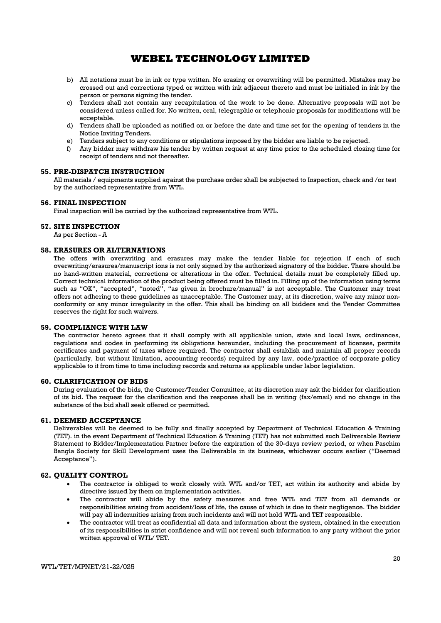- b) All notations must be in ink or type written. No erasing or overwriting will be permitted. Mistakes may be crossed out and corrections typed or written with ink adjacent thereto and must be initialed in ink by the person or persons signing the tender.
- c) Tenders shall not contain any recapitulation of the work to be done. Alternative proposals will not be considered unless called for. No written, oral, telegraphic or telephonic proposals for modifications will be acceptable.
- d) Tenders shall be uploaded as notified on or before the date and time set for the opening of tenders in the Notice Inviting Tenders.
- e) Tenders subject to any conditions or stipulations imposed by the bidder are liable to be rejected.
- f) Any bidder may withdraw his tender by written request at any time prior to the scheduled closing time for receipt of tenders and not thereafter.

#### 55. PRE-DISPATCH INSTRUCTION

All materials / equipments supplied against the purchase order shall be subjected to Inspection, check and /or test by the authorized representative from WTL.

#### 56. FINAL INSPECTION

Final inspection will be carried by the authorized representative from WTL.

#### 57. SITE INSPECTION

As per Section - A

#### 58. ERASURES OR ALTERNATIONS

The offers with overwriting and erasures may make the tender liable for rejection if each of such overwriting/erasures/manuscript ions is not only signed by the authorized signatory of the bidder. There should be no hand-written material, corrections or alterations in the offer. Technical details must be completely filled up. Correct technical information of the product being offered must be filled in. Filling up of the information using terms such as "OK", "accepted", "noted", "as given in brochure/manual" is not acceptable. The Customer may treat offers not adhering to these guidelines as unacceptable. The Customer may, at its discretion, waive any minor nonconformity or any minor irregularity in the offer. This shall be binding on all bidders and the Tender Committee reserves the right for such waivers.

#### 59. COMPLIANCE WITH LAW

The contractor hereto agrees that it shall comply with all applicable union, state and local laws, ordinances, regulations and codes in performing its obligations hereunder, including the procurement of licenses, permits certificates and payment of taxes where required. The contractor shall establish and maintain all proper records (particularly, but without limitation, accounting records) required by any law, code/practice of corporate policy applicable to it from time to time including records and returns as applicable under labor legislation.

#### 60. CLARIFICATION OF BIDS

During evaluation of the bids, the Customer/Tender Committee, at its discretion may ask the bidder for clarification of its bid. The request for the clarification and the response shall be in writing (fax/email) and no change in the substance of the bid shall seek offered or permitted.

### 61. DEEMED ACCEPTANCE

Deliverables will be deemed to be fully and finally accepted by Department of Technical Education & Training (TET). in the event Department of Technical Education & Training (TET) has not submitted such Deliverable Review Statement to Bidder/Implementation Partner before the expiration of the 30-days review period, or when Paschim Bangla Society for Skill Development uses the Deliverable in its business, whichever occurs earlier ("Deemed Acceptance").

#### 62. QUALITY CONTROL

- The contractor is obliged to work closely with WTL and/or TET, act within its authority and abide by directive issued by them on implementation activities.
- The contractor will abide by the safety measures and free WTL and TET from all demands or responsibilities arising from accident/loss of life, the cause of which is due to their negligence. The bidder will pay all indemnities arising from such incidents and will not hold WTL and TET responsible.
- The contractor will treat as confidential all data and information about the system, obtained in the execution of its responsibilities in strict confidence and will not reveal such information to any party without the prior written approval of WTL/ TET.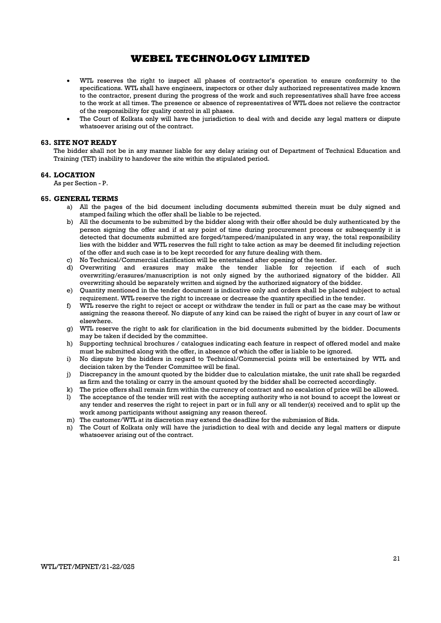- WTL reserves the right to inspect all phases of contractor's operation to ensure conformity to the specifications. WTL shall have engineers, inspectors or other duly authorized representatives made known to the contractor, present during the progress of the work and such representatives shall have free access to the work at all times. The presence or absence of representatives of WTL does not relieve the contractor of the responsibility for quality control in all phases.
- The Court of Kolkata only will have the jurisdiction to deal with and decide any legal matters or dispute whatsoever arising out of the contract.

#### 63. SITE NOT READY

The bidder shall not be in any manner liable for any delay arising out of Department of Technical Education and Training (TET) inability to handover the site within the stipulated period.

### 64. LOCATION

As per Section - P.

#### 65. GENERAL TERMS

- a) All the pages of the bid document including documents submitted therein must be duly signed and stamped failing which the offer shall be liable to be rejected.
- b) All the documents to be submitted by the bidder along with their offer should be duly authenticated by the person signing the offer and if at any point of time during procurement process or subsequently it is detected that documents submitted are forged/tampered/manipulated in any way, the total responsibility lies with the bidder and WTL reserves the full right to take action as may be deemed fit including rejection of the offer and such case is to be kept recorded for any future dealing with them.
- c) No Technical/Commercial clarification will be entertained after opening of the tender.
- d) Overwriting and erasures may make the tender liable for rejection if each of such overwriting/erasures/manuscription is not only signed by the authorized signatory of the bidder. All overwriting should be separately written and signed by the authorized signatory of the bidder.
- e) Quantity mentioned in the tender document is indicative only and orders shall be placed subject to actual requirement. WTL reserve the right to increase or decrease the quantity specified in the tender.
- f) WTL reserve the right to reject or accept or withdraw the tender in full or part as the case may be without assigning the reasons thereof. No dispute of any kind can be raised the right of buyer in any court of law or elsewhere.
- g) WTL reserve the right to ask for clarification in the bid documents submitted by the bidder. Documents may be taken if decided by the committee.
- h) Supporting technical brochures / catalogues indicating each feature in respect of offered model and make must be submitted along with the offer, in absence of which the offer is liable to be ignored.
- i) No dispute by the bidders in regard to Technical/Commercial points will be entertained by WTL and decision taken by the Tender Committee will be final.
- j) Discrepancy in the amount quoted by the bidder due to calculation mistake, the unit rate shall be regarded as firm and the totaling or carry in the amount quoted by the bidder shall be corrected accordingly.
- k) The price offers shall remain firm within the currency of contract and no escalation of price will be allowed.
- l) The acceptance of the tender will rest with the accepting authority who is not bound to accept the lowest or any tender and reserves the right to reject in part or in full any or all tender(s) received and to split up the work among participants without assigning any reason thereof.
- m) The customer/WTL at its discretion may extend the deadline for the submission of Bids.
- n) The Court of Kolkata only will have the jurisdiction to deal with and decide any legal matters or dispute whatsoever arising out of the contract.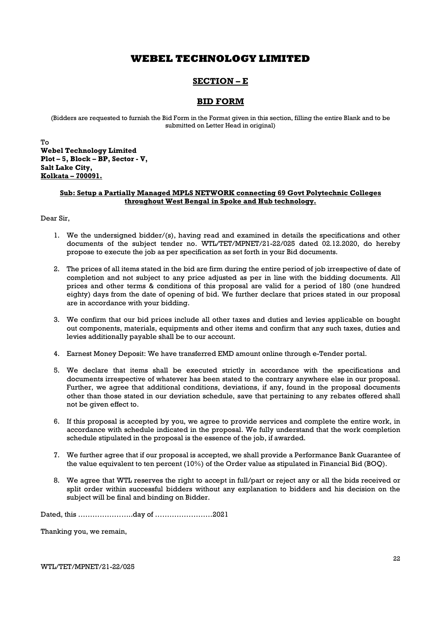## SECTION – E

### BID FORM

(Bidders are requested to furnish the Bid Form in the Format given in this section, filling the entire Blank and to be submitted on Letter Head in original)

To Webel Technology Limited Plot – 5, Block – BP, Sector - V, Salt Lake City, Kolkata – 700091.

### Sub: Setup a Partially Managed MPLS NETWORK connecting 69 Govt Polytechnic Colleges throughout West Bengal in Spoke and Hub technology.

Dear Sir,

- 1. We the undersigned bidder/(s), having read and examined in details the specifications and other documents of the subject tender no. WTL/TET/MPNET/21-22/025 dated 02.12.2020, do hereby propose to execute the job as per specification as set forth in your Bid documents.
- 2. The prices of all items stated in the bid are firm during the entire period of job irrespective of date of completion and not subject to any price adjusted as per in line with the bidding documents. All prices and other terms & conditions of this proposal are valid for a period of 180 (one hundred eighty) days from the date of opening of bid. We further declare that prices stated in our proposal are in accordance with your bidding.
- 3. We confirm that our bid prices include all other taxes and duties and levies applicable on bought out components, materials, equipments and other items and confirm that any such taxes, duties and levies additionally payable shall be to our account.
- 4. Earnest Money Deposit: We have transferred EMD amount online through e-Tender portal.
- 5. We declare that items shall be executed strictly in accordance with the specifications and documents irrespective of whatever has been stated to the contrary anywhere else in our proposal. Further, we agree that additional conditions, deviations, if any, found in the proposal documents other than those stated in our deviation schedule, save that pertaining to any rebates offered shall not be given effect to.
- 6. If this proposal is accepted by you, we agree to provide services and complete the entire work, in accordance with schedule indicated in the proposal. We fully understand that the work completion schedule stipulated in the proposal is the essence of the job, if awarded.
- 7. We further agree that if our proposal is accepted, we shall provide a Performance Bank Guarantee of the value equivalent to ten percent (10%) of the Order value as stipulated in Financial Bid (BOQ).
- 8. We agree that WTL reserves the right to accept in full/part or reject any or all the bids received or split order within successful bidders without any explanation to bidders and his decision on the subject will be final and binding on Bidder.

Dated, this …………………..day of ……………………2021

Thanking you, we remain,

WTL/TET/MPNET/21-22/025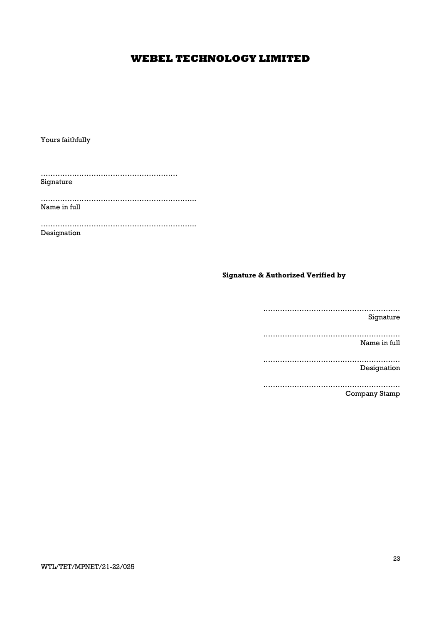Yours faithfully

………………………………………………… Signature

……………………………………………………….. Name in full

……………………………………………………….. Designation

### Signature & Authorized Verified by

………………………………………………… Signature ………………………………………………… Name in full ………………………………………………… Designation ………………………………………………… Company Stamp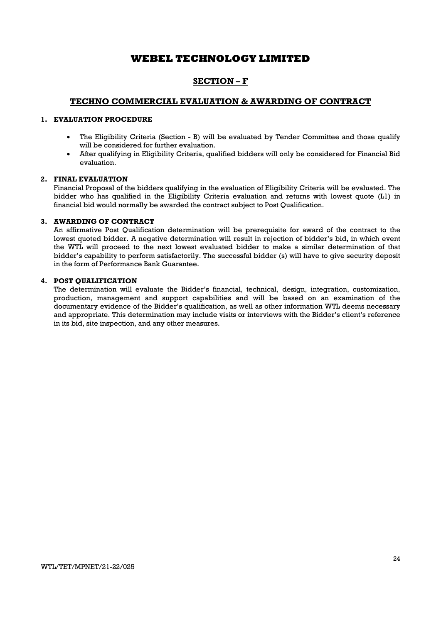## SECTION – F

### TECHNO COMMERCIAL EVALUATION & AWARDING OF CONTRACT

### 1. EVALUATION PROCEDURE

- The Eligibility Criteria (Section B) will be evaluated by Tender Committee and those qualify will be considered for further evaluation.
- After qualifying in Eligibility Criteria, qualified bidders will only be considered for Financial Bid evaluation.

### 2. FINAL EVALUATION

Financial Proposal of the bidders qualifying in the evaluation of Eligibility Criteria will be evaluated. The bidder who has qualified in the Eligibility Criteria evaluation and returns with lowest quote (L1) in financial bid would normally be awarded the contract subject to Post Qualification.

### 3. AWARDING OF CONTRACT

An affirmative Post Qualification determination will be prerequisite for award of the contract to the lowest quoted bidder. A negative determination will result in rejection of bidder's bid, in which event the WTL will proceed to the next lowest evaluated bidder to make a similar determination of that bidder's capability to perform satisfactorily. The successful bidder (s) will have to give security deposit in the form of Performance Bank Guarantee.

### 4. POST QUALIFICATION

The determination will evaluate the Bidder's financial, technical, design, integration, customization, production, management and support capabilities and will be based on an examination of the documentary evidence of the Bidder's qualification, as well as other information WTL deems necessary and appropriate. This determination may include visits or interviews with the Bidder's client's reference in its bid, site inspection, and any other measures.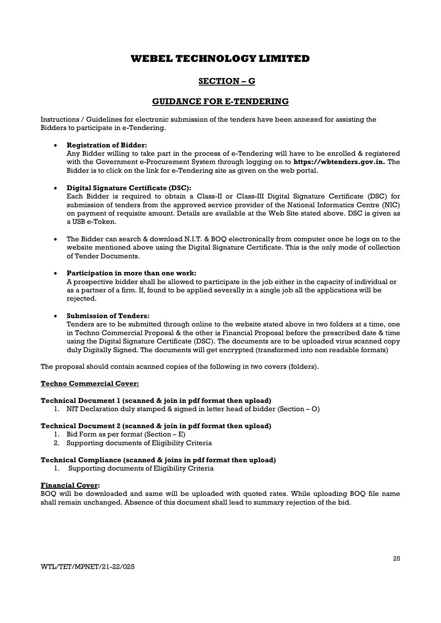## SECTION – G

### GUIDANCE FOR E-TENDERING

Instructions / Guidelines for electronic submission of the tenders have been annexed for assisting the Bidders to participate in e-Tendering.

### Registration of Bidder:

Any Bidder willing to take part in the process of e-Tendering will have to be enrolled & registered with the Government e-Procurement System through logging on to **https://wbtenders.gov.in.** The Bidder is to click on the link for e-Tendering site as given on the web portal.

### Digital Signature Certificate (DSC):

Each Bidder is required to obtain a Class-II or Class-III Digital Signature Certificate (DSC) for submission of tenders from the approved service provider of the National Informatics Centre (NIC) on payment of requisite amount. Details are available at the Web Site stated above. DSC is given as a USB e-Token.

 The Bidder can search & download N.I.T. & BOQ electronically from computer once he logs on to the website mentioned above using the Digital Signature Certificate. This is the only mode of collection of Tender Documents.

### Participation in more than one work:

A prospective bidder shall be allowed to participate in the job either in the capacity of individual or as a partner of a firm. If, found to be applied severally in a single job all the applications will be rejected.

### Submission of Tenders:

Tenders are to be submitted through online to the website stated above in two folders at a time, one in Techno Commercial Proposal & the other is Financial Proposal before the prescribed date & time using the Digital Signature Certificate (DSC). The documents are to be uploaded virus scanned copy duly Digitally Signed. The documents will get encrypted (transformed into non readable formats)

The proposal should contain scanned copies of the following in two covers (folders).

### Techno Commercial Cover:

### Technical Document 1 (scanned & join in pdf format then upload)

1. NIT Declaration duly stamped & signed in letter head of bidder (Section – O)

### Technical Document 2 (scanned & join in pdf format then upload)

- 1. Bid Form as per format (Section E)
- 2. Supporting documents of Eligibility Criteria

### Technical Compliance (scanned & joins in pdf format then upload)

1. Supporting documents of Eligibility Criteria

### Financial Cover:

BOQ will be downloaded and same will be uploaded with quoted rates. While uploading BOQ file name shall remain unchanged. Absence of this document shall lead to summary rejection of the bid.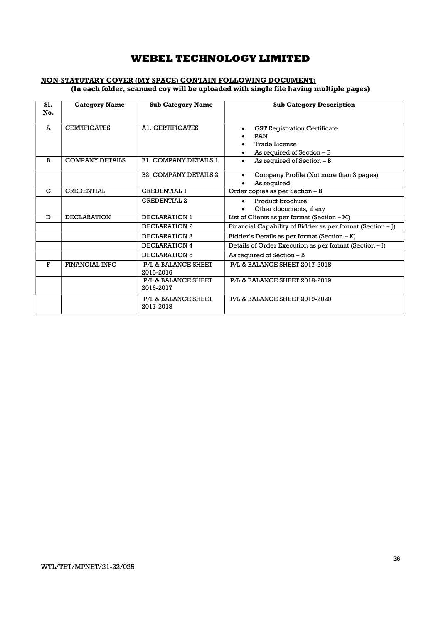### NON-STATUTARY COVER (MY SPACE) CONTAIN FOLLOWING DOCUMENT: (In each folder, scanned coy will be uploaded with single file having multiple pages)

| S1.<br>No. | <b>Category Name</b>   | <b>Sub Category Name</b>         | <b>Sub Category Description</b>                                                                                           |
|------------|------------------------|----------------------------------|---------------------------------------------------------------------------------------------------------------------------|
| A          | <b>CERTIFICATES</b>    | A1. CERTIFICATES                 | <b>GST Registration Certificate</b><br>$\bullet$<br><b>PAN</b><br><b>Trade License</b><br>As required of Section - B<br>٠ |
| B          | <b>COMPANY DETAILS</b> | <b>B1. COMPANY DETAILS 1</b>     | As required of Section - B<br>$\bullet$                                                                                   |
|            |                        | <b>B2. COMPANY DETAILS 2</b>     | Company Profile (Not more than 3 pages)<br>$\bullet$<br>As required                                                       |
| C          | <b>CREDENTIAL</b>      | <b>CREDENTIAL 1</b>              | Order copies as per Section - B                                                                                           |
|            |                        | <b>CREDENTIAL 2</b>              | Product brochure<br>$\bullet$<br>Other documents, if any                                                                  |
| D          | <b>DECLARATION</b>     | DECLARATION 1                    | List of Clients as per format $(Section - M)$                                                                             |
|            |                        | DECLARATION 2                    | Financial Capability of Bidder as per format (Section $-I$ )                                                              |
|            |                        | DECLARATION 3                    | Bidder's Details as per format (Section - K)                                                                              |
|            |                        | DECLARATION 4                    | Details of Order Execution as per format (Section - I)                                                                    |
|            |                        | DECLARATION 5                    | As required of Section - B                                                                                                |
| F          | FINANCIAL INFO         | P/L & BALANCE SHEET<br>2015-2016 | P/L & BALANCE SHEET 2017-2018                                                                                             |
|            |                        | P/L & BALANCE SHEET<br>2016-2017 | P/L & BALANCE SHEET 2018-2019                                                                                             |
|            |                        | P/L & BALANCE SHEET<br>2017-2018 | P/L & BALANCE SHEET 2019-2020                                                                                             |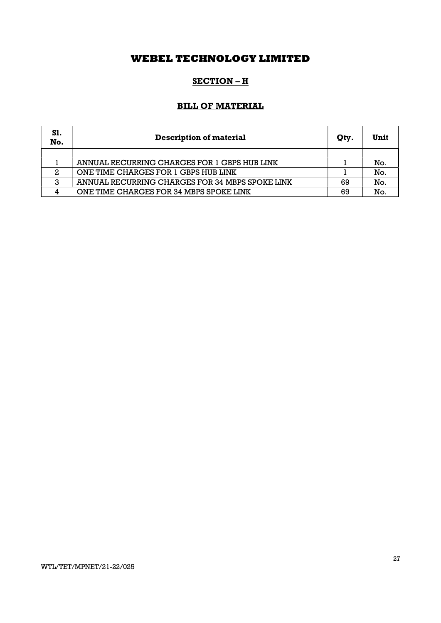## SECTION – H

## BILL OF MATERIAL

| S1.<br>No. | <b>Description of material</b>                  | Qty. | Unit |
|------------|-------------------------------------------------|------|------|
|            |                                                 |      |      |
|            | ANNUAL RECURRING CHARGES FOR 1 GBPS HUB LINK    |      | No.  |
| 2          | ONE TIME CHARGES FOR 1 GBPS HUB LINK            |      | No.  |
| 3          | ANNUAL RECURRING CHARGES FOR 34 MBPS SPOKE LINK | 69   | No.  |
|            | ONE TIME CHARGES FOR 34 MBPS SPOKE LINK         | 69   | No.  |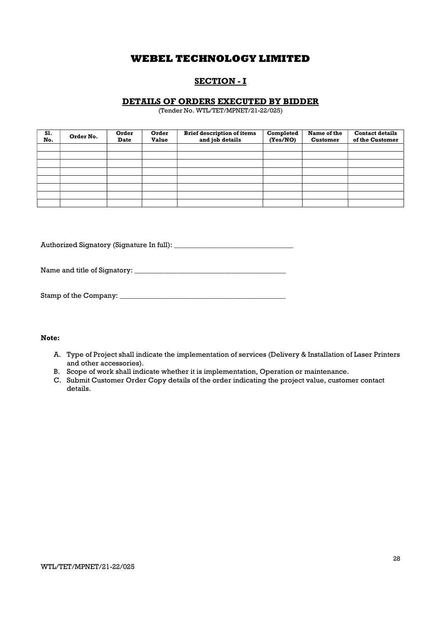## SECTION - I

### DETAILS OF ORDERS EXECUTED BY BIDDER

(Tender No. WTL/TET/MPNET/21-22/025)

| <b>S1.</b><br>No. | Order No. | Order<br><b>Date</b> | Order<br><b>Value</b> | <b>Brief description of items</b><br>and job details | Completed<br>(Yes/NO) | Name of the<br><b>Customer</b> | <b>Contact details</b><br>of the Customer |
|-------------------|-----------|----------------------|-----------------------|------------------------------------------------------|-----------------------|--------------------------------|-------------------------------------------|
|                   |           |                      |                       |                                                      |                       |                                |                                           |
|                   |           |                      |                       |                                                      |                       |                                |                                           |
|                   |           |                      |                       |                                                      |                       |                                |                                           |
|                   |           |                      |                       |                                                      |                       |                                |                                           |
|                   |           |                      |                       |                                                      |                       |                                |                                           |
|                   |           |                      |                       |                                                      |                       |                                |                                           |
|                   |           |                      |                       |                                                      |                       |                                |                                           |
|                   |           |                      |                       |                                                      |                       |                                |                                           |

Authorized Signatory (Signature In full): \_\_\_\_\_\_\_\_\_\_\_\_\_\_\_\_\_\_\_\_\_\_\_\_\_\_\_\_\_\_\_\_\_

Name and title of Signatory: \_\_\_\_\_\_\_\_\_\_\_\_\_\_\_\_\_\_\_\_\_\_\_\_\_\_\_\_\_\_\_\_\_\_\_\_\_\_\_\_\_\_

| Stamp of the Company: |  |
|-----------------------|--|
|-----------------------|--|

### Note:

- A. Type of Project shall indicate the implementation of services (Delivery & Installation of Laser Printers and other accessories).
- B. Scope of work shall indicate whether it is implementation, Operation or maintenance.
- C. Submit Customer Order Copy details of the order indicating the project value, customer contact details.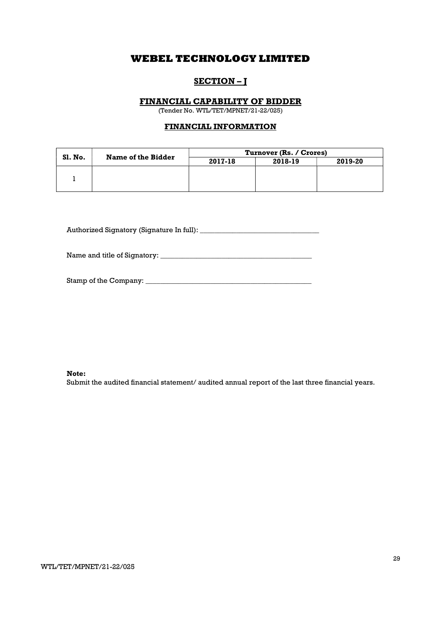## SECTION – J

### FINANCIAL CAPABILITY OF BIDDER

(Tender No. WTL/TET/MPNET/21-22/025)

### FINANCIAL INFORMATION

|         | Name of the Bidder | Turnover (Rs. / Crores) |         |         |
|---------|--------------------|-------------------------|---------|---------|
| Sl. No. |                    | 2017-18                 | 2018-19 | 2019-20 |
|         |                    |                         |         |         |
|         |                    |                         |         |         |
|         |                    |                         |         |         |

Authorized Signatory (Signature In full): \_\_\_\_\_\_\_\_\_\_\_\_\_\_\_\_\_\_\_\_\_\_\_\_\_\_\_\_\_\_\_\_\_

Name and title of Signatory: \_\_\_\_\_\_\_\_\_\_\_\_\_\_\_\_\_\_\_\_\_\_\_\_\_\_\_\_\_\_\_\_\_\_\_\_\_\_\_\_\_\_

#### Note:

Submit the audited financial statement/ audited annual report of the last three financial years.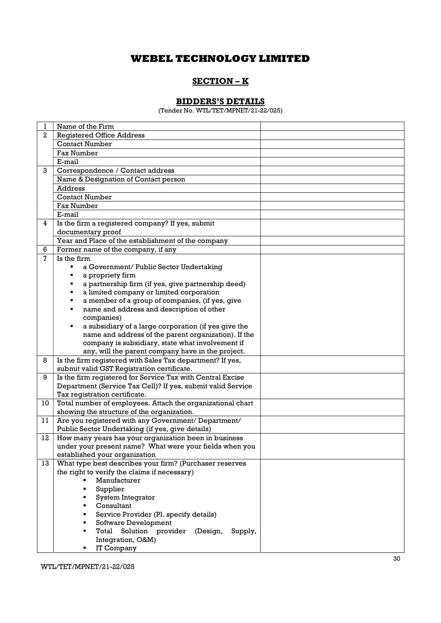## SECTION – K

## BIDDERS'S DETAILS

(Tender No. WTL/TET/MPNET/21-22/025)

| 1            | Name of the Firm                                                                                                 |  |
|--------------|------------------------------------------------------------------------------------------------------------------|--|
| $\mathbf{2}$ | <b>Registered Office Address</b>                                                                                 |  |
|              | <b>Contact Number</b>                                                                                            |  |
|              | <b>Fax Number</b>                                                                                                |  |
|              | E-mail                                                                                                           |  |
| 3            | Correspondence / Contact address                                                                                 |  |
|              | Name & Designation of Contact person                                                                             |  |
|              | <b>Address</b>                                                                                                   |  |
|              | <b>Contact Number</b>                                                                                            |  |
|              | <b>Fax Number</b>                                                                                                |  |
|              | E-mail                                                                                                           |  |
| 4            | Is the firm a registered company? If yes, submit                                                                 |  |
|              | documentary proof                                                                                                |  |
|              | Year and Place of the establishment of the company                                                               |  |
| 6            | Former name of the company, if any                                                                               |  |
| 7            | Is the firm                                                                                                      |  |
|              | a Government/ Public Sector Undertaking                                                                          |  |
|              | a propriety firm                                                                                                 |  |
|              | a partnership firm (if yes, give partnership deed)<br>٠                                                          |  |
|              | a limited company or limited corporation<br>٠                                                                    |  |
|              | a member of a group of companies, (if yes, give<br>٠                                                             |  |
|              | name and address and description of other<br>٠                                                                   |  |
|              | companies)                                                                                                       |  |
|              | a subsidiary of a large corporation (if yes give the<br>٠                                                        |  |
|              | name and address of the parent organization). If the                                                             |  |
|              | company is subsidiary, state what involvement if                                                                 |  |
|              | any, will the parent company have in the project.                                                                |  |
| 8            | Is the firm registered with Sales Tax department? If yes,                                                        |  |
|              | submit valid GST Registration certificate.                                                                       |  |
| 9            | Is the firm registered for Service Tax with Central Excise                                                       |  |
|              | Department (Service Tax Cell)? If yes, submit valid Service                                                      |  |
|              | Tax registration certificate.                                                                                    |  |
| 10           | Total number of employees. Attach the organizational chart                                                       |  |
|              | showing the structure of the organization.                                                                       |  |
| 11           | Are you registered with any Government/ Department/<br>Public Sector Undertaking (if yes, give details)          |  |
| 12           |                                                                                                                  |  |
|              | How many years has your organization been in business<br>under your present name? What were your fields when you |  |
|              | established your organization                                                                                    |  |
| 13           | What type best describes your firm? (Purchaser reserves                                                          |  |
|              | the right to verify the claims if necessary)                                                                     |  |
|              | Manufacturer                                                                                                     |  |
|              | Supplier                                                                                                         |  |
|              | System Integrator                                                                                                |  |
|              | Consultant                                                                                                       |  |
|              | Service Provider (Pl. specify details)                                                                           |  |
|              | Software Development                                                                                             |  |
|              | Total Solution provider (Design,<br>Supply,                                                                      |  |
|              | Integration, O&M)                                                                                                |  |
|              | IT Company                                                                                                       |  |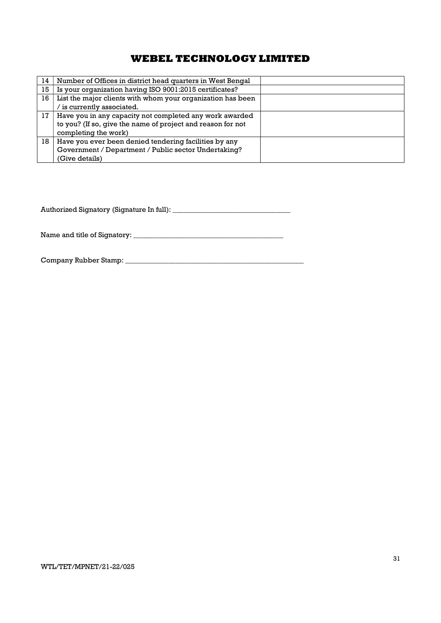| 14 | Number of Offices in district head quarters in West Bengal  |  |
|----|-------------------------------------------------------------|--|
| 15 | Is your organization having ISO 9001:2015 certificates?     |  |
| 16 | List the major clients with whom your organization has been |  |
|    | is currently associated.                                    |  |
| 17 | Have you in any capacity not completed any work awarded     |  |
|    | to you? (If so, give the name of project and reason for not |  |
|    | completing the work)                                        |  |
| 18 | Have you ever been denied tendering facilities by any       |  |
|    | Government / Department / Public sector Undertaking?        |  |
|    | (Give details)                                              |  |

Authorized Signatory (Signature In full): \_\_\_\_\_\_\_\_\_\_\_\_\_\_\_\_\_\_\_\_\_\_\_\_\_\_\_\_\_\_\_\_\_

Name and title of Signatory: \_\_\_\_\_\_\_\_\_\_\_\_\_\_\_\_\_\_\_\_\_\_\_\_\_\_\_\_\_\_\_\_\_\_\_\_\_\_\_\_\_\_

Company Rubber Stamp: \_\_\_\_\_\_\_\_\_\_\_\_\_\_\_\_\_\_\_\_\_\_\_\_\_\_\_\_\_\_\_\_\_\_\_\_\_\_\_\_\_\_\_\_\_\_\_\_\_\_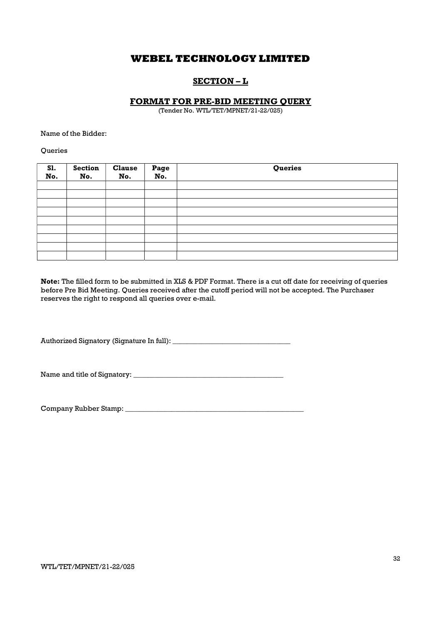## SECTION – L

### FORMAT FOR PRE-BID MEETING QUERY

(Tender No. WTL/TET/MPNET/21-22/025)

Name of the Bidder:

**Oueries** 

| <b>S1.</b><br>No. | <b>Section</b><br>No. | <b>Clause</b><br>No. | Page<br>No. | Queries |
|-------------------|-----------------------|----------------------|-------------|---------|
|                   |                       |                      |             |         |
|                   |                       |                      |             |         |
|                   |                       |                      |             |         |
|                   |                       |                      |             |         |
|                   |                       |                      |             |         |
|                   |                       |                      |             |         |
|                   |                       |                      |             |         |
|                   |                       |                      |             |         |
|                   |                       |                      |             |         |

Note: The filled form to be submitted in XLS & PDF Format. There is a cut off date for receiving of queries before Pre Bid Meeting. Queries received after the cutoff period will not be accepted. The Purchaser reserves the right to respond all queries over e-mail.

Authorized Signatory (Signature In full): \_\_\_\_\_\_\_\_\_\_\_\_\_\_\_\_\_\_\_\_\_\_\_\_\_\_\_\_\_\_\_\_\_

Name and title of Signatory: \_\_\_\_\_\_\_\_\_\_\_\_\_\_\_\_\_\_\_\_\_\_\_\_\_\_\_\_\_\_\_\_\_\_\_\_\_\_\_\_\_\_

Company Rubber Stamp: \_\_\_\_\_\_\_\_\_\_\_\_\_\_\_\_\_\_\_\_\_\_\_\_\_\_\_\_\_\_\_\_\_\_\_\_\_\_\_\_\_\_\_\_\_\_\_\_\_\_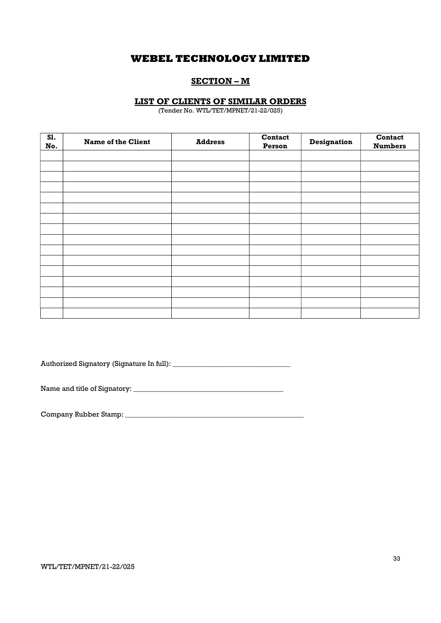## SECTION – M

### LIST OF CLIENTS OF SIMILAR ORDERS

(Tender No. WTL/TET/MPNET/21-22/025)

| S1.<br>No. | <b>Name of the Client</b> | <b>Address</b> | <b>Contact</b><br>Person | Designation | Contact<br><b>Numbers</b> |
|------------|---------------------------|----------------|--------------------------|-------------|---------------------------|
|            |                           |                |                          |             |                           |
|            |                           |                |                          |             |                           |
|            |                           |                |                          |             |                           |
|            |                           |                |                          |             |                           |
|            |                           |                |                          |             |                           |
|            |                           |                |                          |             |                           |
|            |                           |                |                          |             |                           |
|            |                           |                |                          |             |                           |
|            |                           |                |                          |             |                           |
|            |                           |                |                          |             |                           |
|            |                           |                |                          |             |                           |
|            |                           |                |                          |             |                           |
|            |                           |                |                          |             |                           |
|            |                           |                |                          |             |                           |
|            |                           |                |                          |             |                           |
|            |                           |                |                          |             |                           |

Authorized Signatory (Signature In full): \_\_\_\_\_\_\_\_\_\_\_\_\_\_\_\_\_\_\_\_\_\_\_\_\_\_\_\_\_\_\_\_\_

Name and title of Signatory: \_\_\_\_\_\_\_\_\_\_\_\_\_\_\_\_\_\_\_\_\_\_\_\_\_\_\_\_\_\_\_\_\_\_\_\_\_\_\_\_\_\_

Company Rubber Stamp: \_\_\_\_\_\_\_\_\_\_\_\_\_\_\_\_\_\_\_\_\_\_\_\_\_\_\_\_\_\_\_\_\_\_\_\_\_\_\_\_\_\_\_\_\_\_\_\_\_\_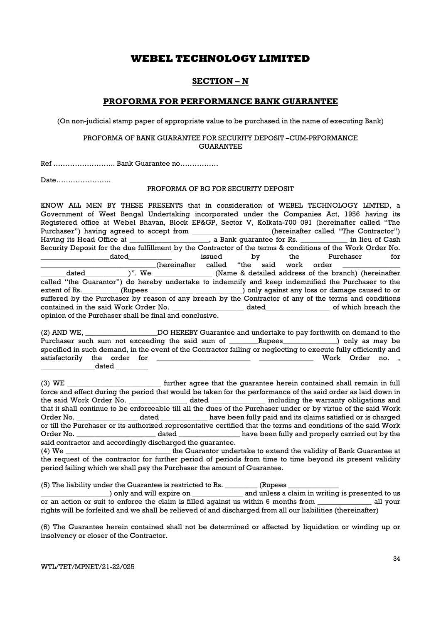## SECTION – N

### PROFORMA FOR PERFORMANCE BANK GUARANTEE

(On non-judicial stamp paper of appropriate value to be purchased in the name of executing Bank)

### PROFORMA OF BANK GUARANTEE FOR SECURITY DEPOSIT –CUM-PRFORMANCE **GUARANTEE**

Ref …………………….. Bank Guarantee no…………….

Date…………………..

#### PROFORMA OF BG FOR SECURITY DEPOSIT

KNOW ALL MEN BY THESE PRESENTS that in consideration of WEBEL TECHNOLOGY LIMTED, a Government of West Bengal Undertaking incorporated under the Companies Act, 1956 having its Registered office at Webel Bhavan, Block EP&GP, Sector V, Kolkata-700 091 (hereinafter called "The Purchaser") having agreed to accept from \_\_\_\_\_\_\_\_\_\_\_\_\_\_\_\_\_(hereinafter called "The Contractor") Purchaser") having agreed to accept from \_\_\_\_\_ Having its Head Office at \_\_\_\_\_\_\_\_\_\_\_\_\_\_\_\_\_, a Bank guarantee for Rs. \_\_\_\_\_\_\_\_\_\_\_\_\_\_ in lieu of Cash Security Deposit for the due fulfillment by the Contractor of the terms & conditions of the Work Order No. dated a controller issued by the Purchaser for  $_$  (hereinafter called "the said work order \_\_\_\_\_\_\_dated\_\_\_\_\_\_\_\_\_\_\_\_)". We \_\_\_\_\_\_\_\_\_\_\_\_\_\_\_\_ (Name & detailed address of the branch) (hereinafter called "the Guarantor") do hereby undertake to indemnify and keep indemnified the Purchaser to the extent of Rs. \_\_\_\_\_\_\_\_ (Rupees \_\_\_\_\_\_\_\_\_\_\_\_\_\_\_\_\_\_\_\_\_\_\_\_\_) only against any loss or damage caused to or suffered by the Purchaser by reason of any breach by the Contractor of any of the terms and conditions contained in the said Work Order No. \_\_\_\_\_\_\_\_\_\_\_\_\_\_\_\_\_\_\_\_ dated\_\_\_\_\_\_\_\_\_\_\_\_\_\_\_\_\_\_ of which breach the opinion of the Purchaser shall be final and conclusive.

(2) AND WE, \_\_\_\_\_\_\_\_\_\_\_\_\_\_\_\_\_\_\_\_DO HEREBY Guarantee and undertake to pay forthwith on demand to the Purchaser such sum not exceeding the said sum of \_\_\_\_\_\_Rupees\_\_\_\_\_\_\_\_\_\_\_\_) only as may be specified in such demand, in the event of the Contractor failing or neglecting to execute fully efficiently and satisfactorily the order for \_\_\_\_\_\_\_\_\_\_\_\_\_\_\_\_\_\_\_\_\_\_\_\_\_\_ \_\_\_\_\_\_\_\_\_\_\_\_\_\_\_ Work Order no. ,  $\_$  dated  $\_$ 

(3) WE \_\_\_\_\_\_\_\_\_\_\_\_\_\_\_\_\_\_\_\_\_\_\_\_\_\_ further agree that the guarantee herein contained shall remain in full force and effect during the period that would be taken for the performance of the said order as laid down in the said Work Order No. \_\_\_\_\_\_\_\_\_\_\_\_\_\_\_\_ dated \_\_\_\_\_\_\_\_\_\_\_\_\_\_\_ including the warranty obligations and that it shall continue to be enforceable till all the dues of the Purchaser under or by virtue of the said Work Order No. **Example 2** dated the same been fully paid and its claims satisfied or is charged or till the Purchaser or its authorized representative certified that the terms and conditions of the said Work Order No. \_\_\_\_\_\_\_\_\_\_\_\_\_\_\_\_\_\_\_\_\_\_ dated \_\_\_\_\_\_\_\_\_\_\_\_\_\_\_\_\_ have been fully and properly carried out by the said contractor and accordingly discharged the guarantee.

(4) We \_\_\_\_\_\_\_\_\_\_\_\_\_\_\_\_\_\_\_\_\_\_\_\_\_\_\_\_\_ the Guarantor undertake to extend the validity of Bank Guarantee at the request of the contractor for further period of periods from time to time beyond its present validity period failing which we shall pay the Purchaser the amount of Guarantee.

(5) The liability under the Guarantee is restricted to Rs. \_\_\_\_\_\_\_\_\_ (Rupees \_\_\_\_\_\_\_\_\_\_\_\_\_\_

) only and will expire on  $\qquad \qquad$  and unless a claim in writing is presented to us or an action or suit to enforce the claim is filled against us within 6 months from \_\_\_\_\_\_\_\_\_\_\_\_\_\_\_ all your rights will be forfeited and we shall be relieved of and discharged from all our liabilities (thereinafter)

(6) The Guarantee herein contained shall not be determined or affected by liquidation or winding up or insolvency or closer of the Contractor.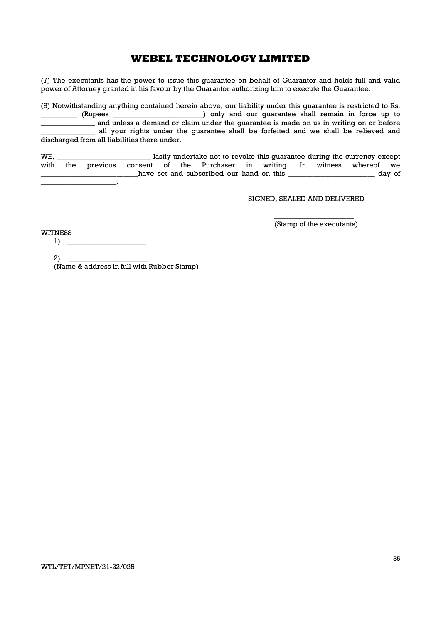(7) The executants has the power to issue this guarantee on behalf of Guarantor and holds full and valid power of Attorney granted in his favour by the Guarantor authorizing him to execute the Guarantee.

(8) Notwithstanding anything contained herein above, our liability under this guarantee is restricted to Rs. ) only and our quarantee shall remain in force up to \_\_\_\_\_\_\_\_\_\_\_\_\_\_\_ and unless a demand or claim under the guarantee is made on us in writing on or before all your rights under the guarantee shall be forfeited and we shall be relieved and discharged from all liabilities there under.

WE, \_\_\_\_\_\_\_\_\_\_\_\_\_\_\_\_\_\_\_\_\_\_\_\_\_\_ lastly undertake not to revoke this guarantee during the currency except with the previous consent of the Purchaser in writing. In witness whereof we have set and subscribed our hand on this \_\_\_\_\_\_\_\_\_\_\_\_\_\_\_\_\_\_\_\_\_\_\_\_\_ day of  $\mathbb{Z}^2$ 

SIGNED, SEALED AND DELIVERED

 $\overline{\phantom{a}}$  , we can consider the constant of  $\overline{\phantom{a}}$ (Stamp of the executants)

WITNESS

 $1) \tightharpoonup$ 

 $2)$  \_ (Name & address in full with Rubber Stamp)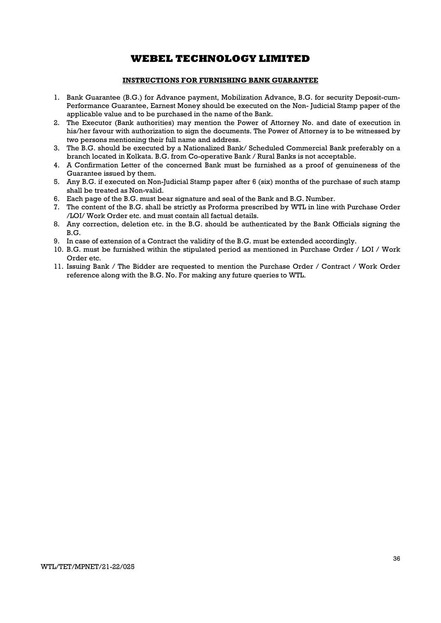### INSTRUCTIONS FOR FURNISHING BANK GUARANTEE

- 1. Bank Guarantee (B.G.) for Advance payment, Mobilization Advance, B.G. for security Deposit-cum-Performance Guarantee, Earnest Money should be executed on the Non- Judicial Stamp paper of the applicable value and to be purchased in the name of the Bank.
- 2. The Executor (Bank authorities) may mention the Power of Attorney No. and date of execution in his/her favour with authorization to sign the documents. The Power of Attorney is to be witnessed by two persons mentioning their full name and address.
- 3. The B.G. should be executed by a Nationalized Bank/ Scheduled Commercial Bank preferably on a branch located in Kolkata. B.G. from Co-operative Bank / Rural Banks is not acceptable.
- 4. A Confirmation Letter of the concerned Bank must be furnished as a proof of genuineness of the Guarantee issued by them.
- 5. Any B.G. if executed on Non-Judicial Stamp paper after 6 (six) months of the purchase of such stamp shall be treated as Non-valid.
- 6. Each page of the B.G. must bear signature and seal of the Bank and B.G. Number.
- 7. The content of the B.G. shall be strictly as Proforma prescribed by WTL in line with Purchase Order /LOI/ Work Order etc. and must contain all factual details.
- 8. Any correction, deletion etc. in the B.G. should be authenticated by the Bank Officials signing the B.G.
- 9. In case of extension of a Contract the validity of the B.G. must be extended accordingly.
- 10. B.G. must be furnished within the stipulated period as mentioned in Purchase Order / LOI / Work Order etc.
- 11. Issuing Bank / The Bidder are requested to mention the Purchase Order / Contract / Work Order reference along with the B.G. No. For making any future queries to WTL.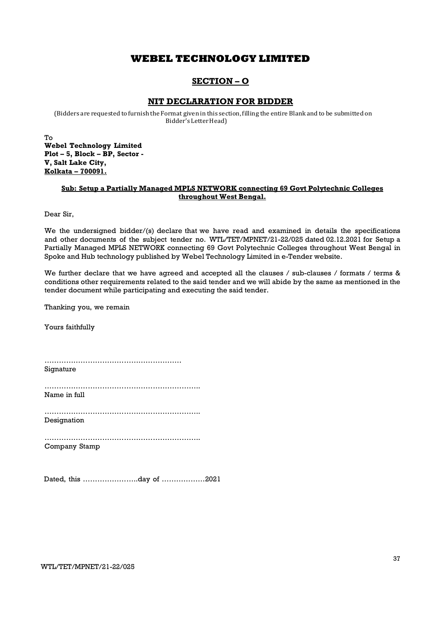## SECTION – O

### NIT DECLARATION FOR BIDDER

(Bidders are requested to furnish the Format given in this section, filling the entire Blank and to be submitted on Bidder's Letter Head)

To Webel Technology Limited Plot – 5, Block – BP, Sector - V, Salt Lake City, Kolkata – 700091.

### Sub: Setup a Partially Managed MPLS NETWORK connecting 69 Govt Polytechnic Colleges throughout West Bengal.

Dear Sir,

We the undersigned bidder/(s) declare that we have read and examined in details the specifications and other documents of the subject tender no. WTL/TET/MPNET/21-22/025 dated 02.12.2021 for Setup a Partially Managed MPLS NETWORK connecting 69 Govt Polytechnic Colleges throughout West Bengal in Spoke and Hub technology published by Webel Technology Limited in e-Tender website.

We further declare that we have agreed and accepted all the clauses / sub-clauses / formats / terms & conditions other requirements related to the said tender and we will abide by the same as mentioned in the tender document while participating and executing the said tender.

Thanking you, we remain

Yours faithfully

………………………………………………… Signature

………………………………………………………..

Name in full

……………………………………………………….. Designation

……………………………………………………….. Company Stamp

Dated, this …………………..day of ………………2021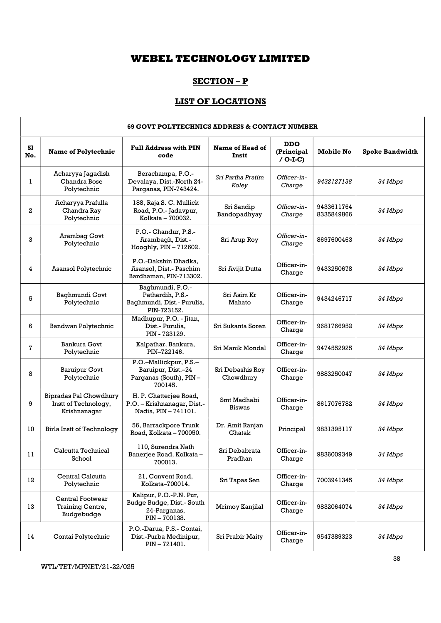## SECTION – P

## LIST OF LOCATIONS

|              | <b>69 GOVT POLYTECHNICS ADDRESS &amp; CONTACT NUMBER</b>         |                                                                                     |                               |                                        |                          |                        |  |  |
|--------------|------------------------------------------------------------------|-------------------------------------------------------------------------------------|-------------------------------|----------------------------------------|--------------------------|------------------------|--|--|
| S1<br>No.    | <b>Name of Polytechnic</b>                                       | <b>Full Address with PIN</b><br>code                                                | Name of Head of<br>Instt      | <b>DDO</b><br>(Principal<br>$/$ O-I-C) | <b>Mobile No</b>         | <b>Spoke Bandwidth</b> |  |  |
| 1            | Acharyya Jagadish<br>Chandra Bose<br>Polytechnic                 | Berachampa, P.O.-<br>Devalaya, Dist.-North 24-<br>Parganas, PIN-743424.             | Sri Partha Pratim<br>Koley    | Officer-in-<br>Charge                  | 9432127138               | 34 Mbps                |  |  |
| $\mathbf{2}$ | Acharyya Prafulla<br>Chandra Ray<br>Polytechnic                  | 188, Raja S. C. Mullick<br>Road, P.O.-Jadavpur,<br>Kolkata - 700032.                | Sri Sandip<br>Bandopadhyay    | Officer-in-<br>Charge                  | 9433611764<br>8335849866 | 34 Mbps                |  |  |
| 3            | Arambag Govt<br>Polytechnic                                      | P.O.- Chandur, P.S.-<br>Arambagh, Dist.-<br>Hooghly, PIN - 712602.                  | Sri Arup Roy                  | Officer-in-<br>Charge                  | 8697600463               | 34 Mbps                |  |  |
| 4            | Asansol Polytechnic                                              | P.O.-Dakshin Dhadka,<br>Asansol. Dist.- Paschim<br>Bardhaman, PIN-713302.           | Sri Avijit Dutta              | Officer-in-<br>Charge                  | 9433250678               | 34 Mbps                |  |  |
| 5            | Baghmundi Govt<br>Polytechnic                                    | Baghmundi, P.O.-<br>Pathardih, P.S.-<br>Baghmundi, Dist.- Purulia,<br>PIN-723152.   | Sri Asim Kr<br>Mahato         | Officer-in-<br>Charge                  | 9434246717               | 34 Mbps                |  |  |
| 6            | Bandwan Polytechnic                                              | Madhupur, P.O. - Jitan,<br>Dist.- Purulia,<br>PIN - 723129.                         | Sri Sukanta Soren             | Officer-in-<br>Charge                  | 9681766952               | 34 Mbps                |  |  |
| 7            | Bankura Govt<br>Polytechnic                                      | Kalpathar, Bankura,<br>PIN-722146.                                                  | Sri Manik Mondal              | Officer-in-<br>Charge                  | 9474552925               | 34 Mbps                |  |  |
| 8            | <b>Baruipur Govt</b><br>Polytechnic                              | P.O.-Mallickpur, P.S.-<br>Baruipur, Dist.-24<br>Parganas (South), PIN-<br>700145.   | Sri Debashis Roy<br>Chowdhury | Officer-in-<br>Charge                  | 9883250047               | 34 Mbps                |  |  |
| 9            | Bipradas Pal Chowdhury<br>Instt of Technology,<br>Krishnanagar   | H. P. Chatterjee Road,<br>P.O. - Krishnanagar, Dist.-<br>Nadia, PIN - 741101.       | Smt Madhabi<br><b>Biswas</b>  | Officer-in-<br>Charge                  | 8617076782               | 34 Mbps                |  |  |
| 10           | <b>Birla Instt of Technology</b>                                 | 56, Barrackpore Trunk<br>Road, Kolkata - 700050.                                    | Dr. Amit Ranjan<br>Ghatak     | Principal                              | 9831395117               | 34 Mbps                |  |  |
| 11           | Calcutta Technical<br>School                                     | 110, Surendra Nath<br>Banerjee Road, Kolkata -<br>700013.                           | Sri Debabrata<br>Pradhan      | Officer-in-<br>Charge                  | 9836009349               | 34 Mbps                |  |  |
| 12           | Central Calcutta<br>Polytechnic                                  | 21, Convent Road,<br>Kolkata-700014.                                                | Sri Tapas Sen                 | Officer-in-<br>Charge                  | 7003941345               | 34 Mbps                |  |  |
| 13           | <b>Central Footwear</b><br><b>Training Centre,</b><br>Budgebudge | Kalipur, P.O.-P.N. Pur,<br>Budge Budge, Dist.- South<br>24-Parganas,<br>PIN-700138. | Mrimoy Kanjilal               | Officer-in-<br>Charge                  | 9832064074               | 34 Mbps                |  |  |
| 14           | Contai Polytechnic                                               | P.O.-Darua, P.S.- Contai,<br>Dist.-Purba Medinipur,<br>PIN-721401.                  | Sri Prabir Maity              | Officer-in-<br>Charge                  | 9547389323               | 34 Mbps                |  |  |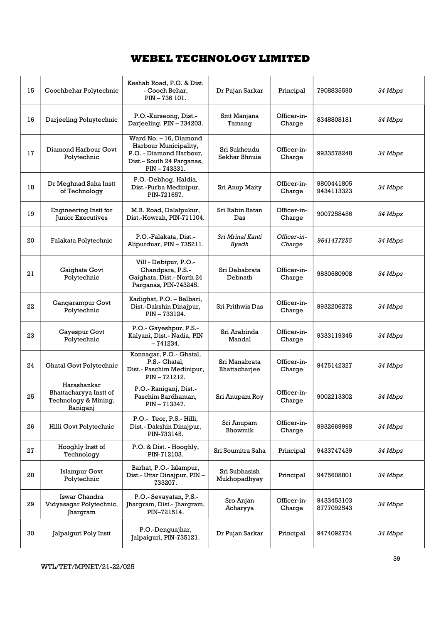| 15 | Coochbehar Polytechnic                                                    | Keshab Road, P.O. & Dist.<br>- Cooch Behar,<br>PIN-736 101.                                                            | Dr Pujan Sarkar                  | Principal             | 7908835590               | 34 Mbps |
|----|---------------------------------------------------------------------------|------------------------------------------------------------------------------------------------------------------------|----------------------------------|-----------------------|--------------------------|---------|
| 16 | Darjeeling Poluytechnic                                                   | P.O.-Kurseong, Dist.-<br>Darjeeling, PIN - 734203.                                                                     | Smt Manjana<br>Tamang            | Officer-in-<br>Charge | 8348808181               | 34 Mbps |
| 17 | Diamond Harbour Govt<br>Polytechnic                                       | Ward No. - 16, Diamond<br>Harbour Municipality,<br>P.O. - Diamond Harbour,<br>Dist.- South 24 Parganas,<br>PIN-743331. | Sri Sukhendu<br>Sekhar Bhnuia    | Officer-in-<br>Charge | 9933578248               | 34 Mbps |
| 18 | Dr Meghnad Saha Instt<br>of Technology                                    | P.O.-Debhog, Haldia,<br>Dist.-Purba Medinipur,<br>PIN-721657.                                                          | Sri Anup Maity                   | Officer-in-<br>Charge | 9800441805<br>9434113323 | 34 Mbps |
| 19 | <b>Engineering Instt for</b><br>Junior Executives                         | M.B. Road, Dalalpukur,<br>Dist.-Howrah, PIN-711104.                                                                    | Sri Rabin Ratan<br>Das           | Officer-in-<br>Charge | 9007258456               | 34 Mbps |
| 20 | Falakata Polytechnic                                                      | P.O.-Falakata, Dist.-<br>Alipurduar, PIN - 735211.                                                                     | Sri Mrinal Kanti<br><b>Byadh</b> | Officer-in-<br>Charge | 9641477255               | 34 Mbps |
| 21 | Gaighata Govt<br>Polytechnic                                              | Vill - Debipur, P.O.-<br>Chandpara, P.S.-<br>Gaighata, Dist.- North 24<br>Parganas, PIN-743245.                        | Sri Debabrata<br>Debnath         | Officer-in-<br>Charge | 9830580908               | 34 Mbps |
| 22 | Gangarampur Govt<br>Polytechnic                                           | Kadighat, P.O. - Belbari,<br>Dist.-Dakshin Dinajpur,<br>PIN-733124.                                                    | Sri Prithwis Das                 | Officer-in-<br>Charge | 9932206272               | 34 Mbps |
| 23 | Gayespur Govt<br>Polytechnic                                              | P.O.- Gayeshpur, P.S.-<br>Kalyani, Dist.- Nadia, PIN<br>$-741234.$                                                     | Sri Arabinda<br>Mandal           | Officer-in-<br>Charge | 9333119345               | 34 Mbps |
| 24 | <b>Ghatal Govt Polytechnic</b>                                            | Konnagar, P.O.- Ghatal,<br>P.S.- Ghatal,<br>Dist.- Paschim Medinipur,<br>PIN-721212.                                   | Sri Manabrata<br>Bhattacharjee   | Officer-in-<br>Charge | 9475142327               | 34 Mbps |
| 25 | Harashankar<br>Bhattacharyya Instt of<br>Technology & Mining,<br>Raniganj | P.O.- Raniganj, Dist.-<br>Paschim Bardhaman,<br>PIN - 713347.                                                          | Sri Anupam Roy                   | Officer-in-<br>Charge | 9002213302               | 34 Mbps |
| 26 | Hilli Govt Polytechnic                                                    | P.O.- Teor, P.S.- Hilli,<br>Dist.- Dakshin Dinajpur,<br>PIN-733145.                                                    | Sri Anupam<br>Bhowmik            | Officer-in-<br>Charge | 9932669998               | 34 Mbps |
| 27 | Hooghly Instt of<br>Technology                                            | P.O. & Dist. - Hooghly,<br>PIN-712103.                                                                                 | Sri Soumitra Saha                | Principal             | 9433747439               | 34 Mbps |
| 28 | <b>Islampur Govt</b><br>Polytechnic                                       | Barhat, P.O.- Islampur,<br>Dist.- Uttar Dinajpur, PIN-<br>733207.                                                      | Sri Subhasish<br>Mukhopadhyay    | Principal             | 9475608801               | 34 Mbps |
| 29 | Iswar Chandra<br>Vidyasagar Polytechnic,<br>Jhargram                      | P.O.- Sevayatan, P.S.-<br>Jhargram, Dist.- Jhargram,<br>PIN-721514.                                                    | Sro Anjan<br>Acharyya            | Officer-in-<br>Charge | 9433453103<br>8777092543 | 34 Mbps |
| 30 | Jalpaiguri Poly Instt                                                     | P.O.-Denguajhar,<br>Jalpaiguri, PIN-735121.                                                                            | Dr Pujan Sarkar                  | Principal             | 9474092754               | 34 Mbps |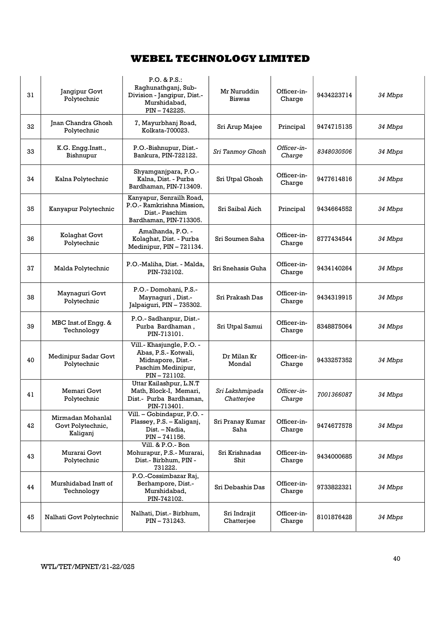| 31 | Jangipur Govt<br>Polytechnic                       | P.O. & P.S.<br>Raghunathganj, Sub-<br>Division - Jangipur, Dist.-<br>Murshidabad,<br>PIN-742225.            | Mr Nuruddin<br><b>Biswas</b>  | Officer-in-<br>Charge | 9434223714 | 34 Mbps |
|----|----------------------------------------------------|-------------------------------------------------------------------------------------------------------------|-------------------------------|-----------------------|------------|---------|
| 32 | <b>Jnan Chandra Ghosh</b><br>Polytechnic           | 7, Mayurbhanj Road,<br>Kolkata-700023.                                                                      | Sri Arup Majee                | Principal             | 9474715135 | 34 Mbps |
| 33 | K.G. Engg.Instt.,<br>Bishnupur                     | P.O.-Bishnupur, Dist.-<br>Bankura, PIN-722122.                                                              | Sri Tanmoy Ghosh              | Officer-in-<br>Charge | 8348030506 | 34 Mbps |
| 34 | Kalna Polytechnic                                  | Shyamganjpara, P.O.-<br>Kalna, Dist. - Purba<br>Bardhaman, PIN-713409.                                      | Sri Utpal Ghosh               | Officer-in-<br>Charge | 9477614816 | 34 Mbps |
| 35 | Kanyapur Polytechnic                               | Kanyapur, Senrailh Road,<br>P.O.- Ramkrishna Mission,<br>Dist.- Paschim<br>Bardhaman, PIN-713305.           | Sri Saibal Aich               | Principal             | 9434664552 | 34 Mbps |
| 36 | Kolaghat Govt<br>Polytechnic                       | Amalhanda, P.O. -<br>Kolaghat, Dist. - Purba<br>Medinipur, PIN - 721134.                                    | Sri Soumen Saha               | Officer-in-<br>Charge | 8777434544 | 34 Mbps |
| 37 | Malda Polytechnic                                  | P.O.-Maliha, Dist. - Malda,<br>PIN-732102.                                                                  | Sri Snehasis Guha             | Officer-in-<br>Charge | 9434140264 | 34 Mbps |
| 38 | Maynaguri Govt<br>Polytechnic                      | P.O.- Domohani, P.S.-<br>Maynaguri, Dist.-<br>Jalpaiguri, PIN - 735302.                                     | Sri Prakash Das               | Officer-in-<br>Charge | 9434319915 | 34 Mbps |
| 39 | MBC Inst.of Engg. &<br>Technology                  | P.O.- Sadhanpur, Dist.-<br>Purba Bardhaman,<br>PIN-713101.                                                  | Sri Utpal Samui               | Officer-in-<br>Charge | 8348875064 | 34 Mbps |
| 40 | Medinipur Sadar Govt<br>Polytechnic                | Vill.- Khasjungle, P.O. -<br>Abas, P.S.- Kotwali,<br>Midnapore, Dist.-<br>Paschim Medinipur,<br>PIN-721102. | Dr Milan Kr<br>Mondal         | Officer-in-<br>Charge | 9433257352 | 34 Mbps |
| 41 | Memari Govt<br>Polytechnic                         | Uttar Kailashpur, L.N.T<br>Math, Block-I, Memari,<br>Dist.- Purba Bardhaman,<br>PIN-713401.                 | Sri Lakshmipada<br>Chatterjee | Officer-in-<br>Charge | 7001366087 | 34 Mbps |
| 42 | Mirmadan Mohanlal<br>Govt Polytechnic,<br>Kaliganj | Vill. - Gobindapur, P.O. -<br>Plassey, P.S. - Kaliganj,<br>Dist. - Nadia,<br>PIN-741156.                    | Sri Pranay Kumar<br>Saha      | Officer-in-<br>Charge | 9474677578 | 34 Mbps |
| 43 | Murarai Govt<br>Polytechnic                        | Vill. & P.O.- Bon<br>Mohurapur, P.S.- Murarai,<br>Dist.- Birbhum, PIN -<br>731222.                          | Sri Krishnadas<br>Shit        | Officer-in-<br>Charge | 9434000685 | 34 Mbps |
| 44 | Murshidabad Instt of<br>Technology                 | P.O.-Cossimbazar Raj,<br>Berhampore, Dist.-<br>Murshidabad,<br>PIN-742102.                                  | Sri Debashis Das              | Officer-in-<br>Charge | 9733822321 | 34 Mbps |
| 45 | Nalhati Govt Polytechnic                           | Nalhati, Dist.- Birbhum,<br>PIN-731243.                                                                     | Sri Indrajit<br>Chatterjee    | Officer-in-<br>Charge | 8101876428 | 34 Mbps |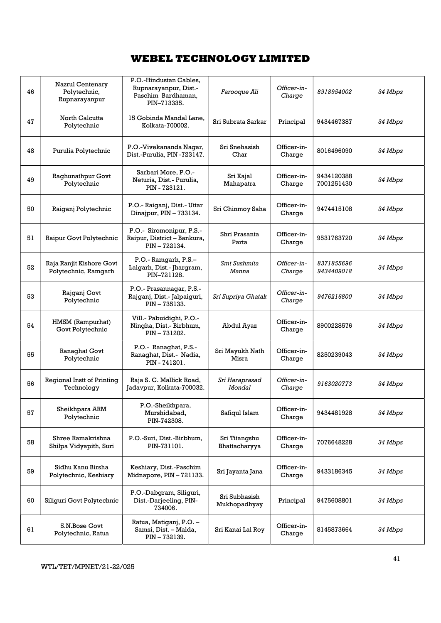| 46 | Nazrul Centenary<br>Polytechnic,<br>Rupnarayanpur | P.O.-Hindustan Cables,<br>Rupnarayanpur, Dist.-<br>Paschim Bardhaman,<br>PIN-713335. | <i>Farooque Ali</i>            | Officer-in-<br>Charge | 8918954002               | 34 Mbps |
|----|---------------------------------------------------|--------------------------------------------------------------------------------------|--------------------------------|-----------------------|--------------------------|---------|
| 47 | North Calcutta<br>Polytechnic                     | 15 Gobinda Mandal Lane,<br>Kolkata-700002.                                           | Sri Subrata Sarkar             | Principal             | 9434467387               | 34 Mbps |
| 48 | Purulia Polytechnic                               | P.O.-Vivekananda Nagar,<br>Dist.-Purulia, PIN -723147.                               | Sri Snehasish<br>Char          | Officer-in-<br>Charge | 8016496090               | 34 Mbps |
| 49 | Raghunathpur Govt<br>Polytechnic                  | Sarbari More, P.O.-<br>Neturia, Dist.- Purulia,<br>PIN - 723121.                     | Sri Kajal<br>Mahapatra         | Officer-in-<br>Charge | 9434120388<br>7001251430 | 34 Mbps |
| 50 | Raiganj Polytechnic                               | P.O.- Raiganj, Dist.- Uttar<br>Dinajpur, PIN - 733134.                               | Sri Chinmoy Saha               | Officer-in-<br>Charge | 9474415108               | 34 Mbps |
| 51 | Raipur Govt Polytechnic                           | P.O.- Siromonipur, P.S.-<br>Raipur, District - Bankura,<br>PIN-722134.               | Shri Prasanta<br>Parta         | Officer-in-<br>Charge | 9531763720               | 34 Mbps |
| 52 | Raja Ranjit Kishore Govt<br>Polytechnic, Ramgarh  | P.O.- Ramgarh, P.S.-<br>Lalgarh, Dist.- Jhargram,<br>PIN-721128.                     | Smt Sushmita<br>Manna          | Officer-in-<br>Charge | 8371855696<br>9434409018 | 34 Mbps |
| 53 | Rajganj Govt<br>Polytechnic                       | P.O.- Prasannagar, P.S.-<br>Rajganj, Dist.- Jalpaiguri,<br>PIN-735133.               | Sri Supriya Ghatak             | Officer-in-<br>Charge | 9476216800               | 34 Mbps |
| 54 | HMSM (Rampurhat)<br>Govt Polytechnic              | Vill.- Pabuidighi, P.O.-<br>Ningha, Dist.- Birbhum,<br>PIN-731202.                   | Abdul Ayaz                     | Officer-in-<br>Charge | 8900228576               | 34 Mbps |
| 55 | Ranaghat Govt<br>Polytechnic                      | P.O.- Ranaghat, P.S.-<br>Ranaghat, Dist.- Nadia,<br>PIN - 741201.                    | Sri Mayukh Nath<br>Misra       | Officer-in-<br>Charge | 8250239043               | 34 Mbps |
| 56 | Regional Instt of Printing<br>Technology          | Raja S. C. Mallick Road,<br>Jadavpur, Kolkata-700032.                                | Sri Haraprasad<br>Mondal       | Officer-in-<br>Charge | 9163020773               | 34 Mbps |
| 57 | Sheikhpara ARM<br>Polytechnic                     | P.O.-Sheikhpara,<br>Murshidabad,<br>PIN-742308.                                      | Safiqul Islam                  | Officer-in-<br>Charge | 9434481928               | 34 Mbps |
| 58 | Shree Ramakrishna<br>Shilpa Vidyapith, Suri       | P.O.-Suri, Dist.-Birbhum,<br>PIN-731101.                                             | Sri Titangshu<br>Bhattacharyya | Officer-in-<br>Charge | 7076648228               | 34 Mbps |
| 59 | Sidhu Kanu Birsha<br>Polytechnic, Keshiary        | Keshiary, Dist.-Paschim<br>Midnapore, PIN-721133.                                    | Sri Jayanta Jana               | Officer-in-<br>Charge | 9433186345               | 34 Mbps |
| 60 | Siliguri Govt Polytechnic                         | P.O.-Dabgram, Siliguri,<br>Dist.-Darjeeling, PIN-<br>734006.                         | Sri Subhasish<br>Mukhopadhyay  | Principal             | 9475608801               | 34 Mbps |
| 61 | S.N.Bose Govt<br>Polytechnic, Ratua               | Ratua, Matiganj, P.O. -<br>Samsi, Dist. - Malda,<br>PIN-732139.                      | Sri Kanai Lal Roy              | Officer-in-<br>Charge | 8145873664               | 34 Mbps |